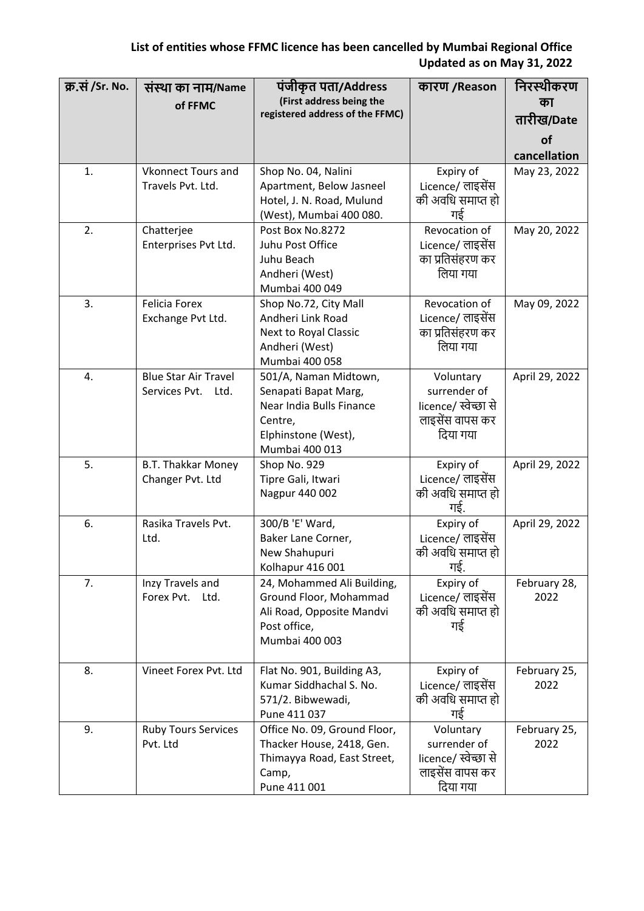| क्र.सं /Sr. No. | संस्था का नाम/Name<br>of FFMC                        | पंजीकृत पता/Address<br>(First address being the<br>registered address of the FFMC)                                            | कारण /Reason                                                                     | निरस्थीकरण<br>का<br>तारीख/Date<br>of<br>cancellation |
|-----------------|------------------------------------------------------|-------------------------------------------------------------------------------------------------------------------------------|----------------------------------------------------------------------------------|------------------------------------------------------|
| 1.              | <b>Vkonnect Tours and</b><br>Travels Pvt. Ltd.       | Shop No. 04, Nalini<br>Apartment, Below Jasneel<br>Hotel, J. N. Road, Mulund<br>(West), Mumbai 400 080.                       | Expiry of<br>Licence/ लाइसेंस<br>की अवधि समाप्त हो<br>गई                         | May 23, 2022                                         |
| 2.              | Chatterjee<br>Enterprises Pvt Ltd.                   | Post Box No.8272<br>Juhu Post Office<br>Juhu Beach<br>Andheri (West)<br>Mumbai 400 049                                        | Revocation of<br>Licence/ लाइसेंस<br>का प्रतिसंहरण कर<br>लिया गया                | May 20, 2022                                         |
| 3.              | <b>Felicia Forex</b><br>Exchange Pvt Ltd.            | Shop No.72, City Mall<br>Andheri Link Road<br>Next to Royal Classic<br>Andheri (West)<br>Mumbai 400 058                       | Revocation of<br>Licence/ लाइसेंस<br>का प्रतिसंहरण कर<br>लिया गया                | May 09, 2022                                         |
| 4.              | <b>Blue Star Air Travel</b><br>Services Pvt.<br>Ltd. | 501/A, Naman Midtown,<br>Senapati Bapat Marg,<br>Near India Bulls Finance<br>Centre,<br>Elphinstone (West),<br>Mumbai 400 013 | Voluntary<br>surrender of<br>licence/ स्वेच्छा से<br>लाइसेंस वापस कर<br>दिया गया | April 29, 2022                                       |
| 5.              | <b>B.T. Thakkar Money</b><br>Changer Pvt. Ltd        | Shop No. 929<br>Tipre Gali, Itwari<br>Nagpur 440 002                                                                          | Expiry of<br>Licence/ लाइसेंस<br>की अवधि समाप्त हो<br>गई.                        | April 29, 2022                                       |
| 6.              | Rasika Travels Pvt.<br>Ltd.                          | 300/B 'E' Ward,<br>Baker Lane Corner,<br>New Shahupuri<br>Kolhapur 416 001                                                    | Expiry of<br>Licence/ लाइसेंस<br>की अवधि समाप्त हो<br>गई.                        | April 29, 2022                                       |
| 7.              | Inzy Travels and<br>Forex Pvt.<br>Ltd.               | 24, Mohammed Ali Building,<br>Ground Floor, Mohammad<br>Ali Road, Opposite Mandvi<br>Post office,<br>Mumbai 400 003           | Expiry of<br>Licence/ लाइसेंस<br>की अवधि समाप्त हो<br>गई                         | February 28,<br>2022                                 |
| 8.              | Vineet Forex Pvt. Ltd                                | Flat No. 901, Building A3,<br>Kumar Siddhachal S. No.<br>571/2. Bibwewadi,<br>Pune 411 037                                    | Expiry of<br>Licence/ लाइसेंस<br>की अवधि समाप्त हो<br>गई                         | February 25,<br>2022                                 |
| 9.              | <b>Ruby Tours Services</b><br>Pvt. Ltd               | Office No. 09, Ground Floor,<br>Thacker House, 2418, Gen.<br>Thimayya Road, East Street,<br>Camp,<br>Pune 411 001             | Voluntary<br>surrender of<br>licence/ स्वेच्छा से<br>लाइसेंस वापस कर<br>दिया गया | February 25,<br>2022                                 |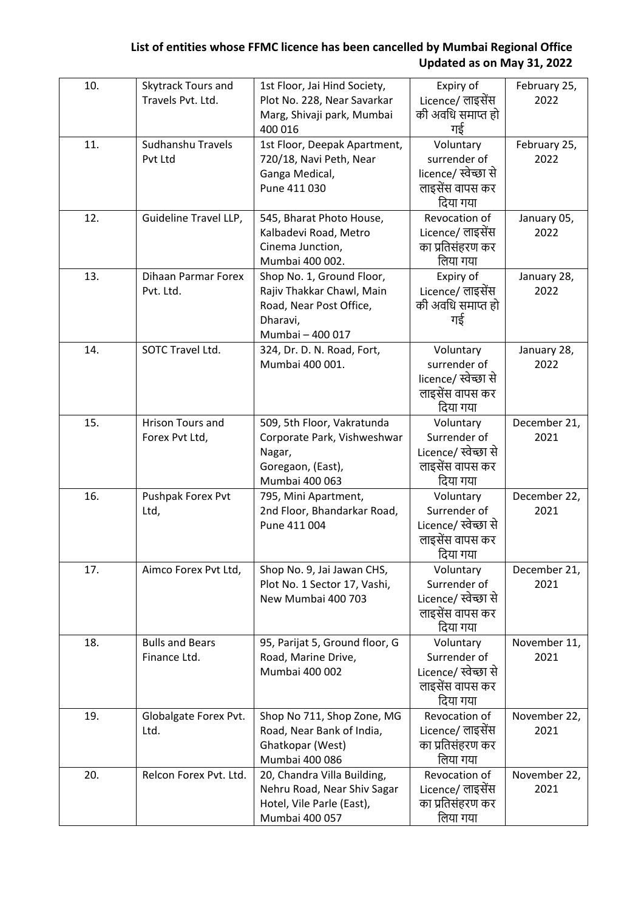| 10. | Skytrack Tours and<br>Travels Pvt. Ltd. | 1st Floor, Jai Hind Society,<br>Plot No. 228, Near Savarkar<br>Marg, Shivaji park, Mumbai<br>400 016              | Expiry of<br>Licence/ लाइसेंस<br>की अवधि समाप्त हो<br>गई                         | February 25,<br>2022 |
|-----|-----------------------------------------|-------------------------------------------------------------------------------------------------------------------|----------------------------------------------------------------------------------|----------------------|
| 11. | Sudhanshu Travels<br>Pvt Ltd            | 1st Floor, Deepak Apartment,<br>720/18, Navi Peth, Near<br>Ganga Medical,<br>Pune 411 030                         | Voluntary<br>surrender of<br>licence/ स्वेच्छा से<br>लाइसेंस वापस कर<br>दिया गया | February 25,<br>2022 |
| 12. | Guideline Travel LLP,                   | 545, Bharat Photo House,<br>Kalbadevi Road, Metro<br>Cinema Junction,<br>Mumbai 400 002.                          | Revocation of<br>Licence/ लाइसेंस<br>का प्रतिसंहरण कर<br>लिया गया                | January 05,<br>2022  |
| 13. | <b>Dihaan Parmar Forex</b><br>Pvt. Ltd. | Shop No. 1, Ground Floor,<br>Rajiv Thakkar Chawl, Main<br>Road, Near Post Office,<br>Dharavi,<br>Mumbai - 400 017 | Expiry of<br>Licence/ लाइसेंस<br>की अवधि समाप्त हो<br>गई                         | January 28,<br>2022  |
| 14. | SOTC Travel Ltd.                        | 324, Dr. D. N. Road, Fort,<br>Mumbai 400 001.                                                                     | Voluntary<br>surrender of<br>licence/ स्वेच्छा से<br>लाइसेंस वापस कर<br>दिया गया | January 28,<br>2022  |
| 15. | Hrison Tours and<br>Forex Pvt Ltd,      | 509, 5th Floor, Vakratunda<br>Corporate Park, Vishweshwar<br>Nagar,<br>Goregaon, (East),<br>Mumbai 400 063        | Voluntary<br>Surrender of<br>Licence/ स्वेच्छा से<br>लाइसेंस वापस कर<br>दिया गया | December 21,<br>2021 |
| 16. | Pushpak Forex Pvt<br>Ltd,               | 795, Mini Apartment,<br>2nd Floor, Bhandarkar Road,<br>Pune 411 004                                               | Voluntary<br>Surrender of<br>Licence/ स्वेच्छा से<br>लाइसेंस वापस कर<br>दिया गया | December 22,<br>2021 |
| 17. | Aimco Forex Pvt Ltd,                    | Shop No. 9, Jai Jawan CHS,<br>Plot No. 1 Sector 17, Vashi,<br>New Mumbai 400 703                                  | Voluntary<br>Surrender of<br>Licence/ स्वेच्छा से<br>लाइसेंस वापस कर<br>दिया गया | December 21,<br>2021 |
| 18. | <b>Bulls and Bears</b><br>Finance Ltd.  | 95, Parijat 5, Ground floor, G<br>Road, Marine Drive,<br>Mumbai 400 002                                           | Voluntary<br>Surrender of<br>Licence/ स्वेच्छा से<br>लाइसेंस वापस कर<br>दिया गया | November 11,<br>2021 |
| 19. | Globalgate Forex Pvt.<br>Ltd.           | Shop No 711, Shop Zone, MG<br>Road, Near Bank of India,<br>Ghatkopar (West)<br>Mumbai 400 086                     | Revocation of<br>Licence/ लाइसेंस<br>का प्रतिसंहरण कर<br>लिया गया                | November 22,<br>2021 |
| 20. | Relcon Forex Pvt. Ltd.                  | 20, Chandra Villa Building,<br>Nehru Road, Near Shiv Sagar<br>Hotel, Vile Parle (East),<br>Mumbai 400 057         | Revocation of<br>Licence/ लाइसेंस<br>का प्रतिसंहरण कर<br>लिया गया                | November 22,<br>2021 |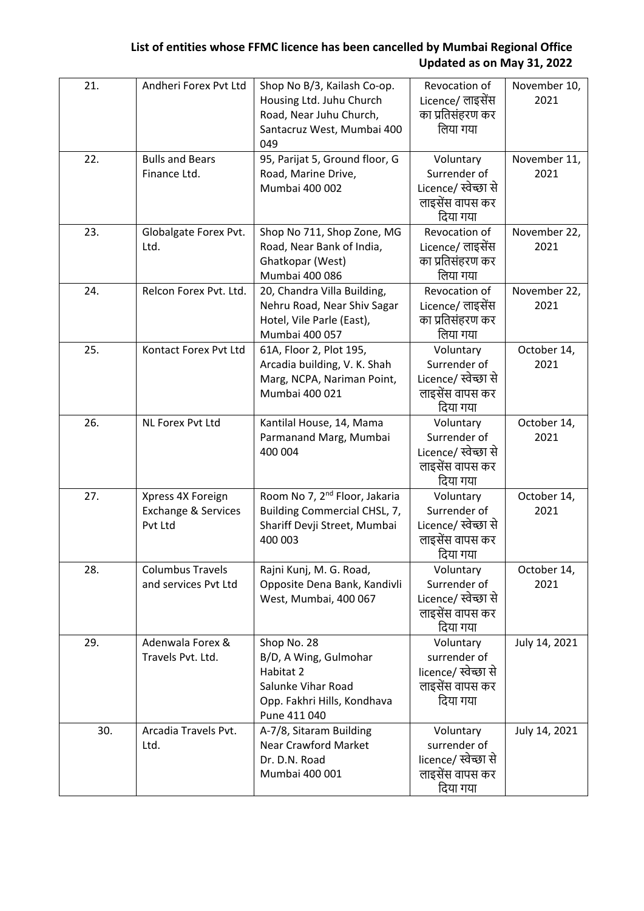| 21. | Andheri Forex Pvt Ltd                                          | Shop No B/3, Kailash Co-op.<br>Housing Ltd. Juhu Church<br>Road, Near Juhu Church,<br>Santacruz West, Mumbai 400<br>049 | Revocation of<br>Licence/ लाइसेंस<br>का प्रतिसंहरण कर<br>लिया गया                | November 10,<br>2021 |
|-----|----------------------------------------------------------------|-------------------------------------------------------------------------------------------------------------------------|----------------------------------------------------------------------------------|----------------------|
| 22. | <b>Bulls and Bears</b><br>Finance Ltd.                         | 95, Parijat 5, Ground floor, G<br>Road, Marine Drive,<br>Mumbai 400 002                                                 | Voluntary<br>Surrender of<br>Licence/ स्वेच्छा से<br>लाइसेंस वापस कर<br>दिया गया | November 11,<br>2021 |
| 23. | Globalgate Forex Pvt.<br>Ltd.                                  | Shop No 711, Shop Zone, MG<br>Road, Near Bank of India,<br>Ghatkopar (West)<br>Mumbai 400 086                           | Revocation of<br>Licence/ लाइसेंस<br>का प्रतिसंहरण कर<br>लिया गया                | November 22,<br>2021 |
| 24. | Relcon Forex Pvt. Ltd.                                         | 20, Chandra Villa Building,<br>Nehru Road, Near Shiv Sagar<br>Hotel, Vile Parle (East),<br>Mumbai 400 057               | Revocation of<br>Licence/ लाइसेंस<br>का प्रतिसंहरण कर<br>लिया गया                | November 22,<br>2021 |
| 25. | Kontact Forex Pvt Ltd                                          | 61A, Floor 2, Plot 195,<br>Arcadia building, V. K. Shah<br>Marg, NCPA, Nariman Point,<br>Mumbai 400 021                 | Voluntary<br>Surrender of<br>Licence/ स्वेच्छा से<br>लाइसेंस वापस कर<br>दिया गया | October 14,<br>2021  |
| 26. | NL Forex Pvt Ltd                                               | Kantilal House, 14, Mama<br>Parmanand Marg, Mumbai<br>400 004                                                           | Voluntary<br>Surrender of<br>Licence/ स्वेच्छा से<br>लाइसेंस वापस कर<br>दिया गया | October 14,<br>2021  |
| 27. | Xpress 4X Foreign<br><b>Exchange &amp; Services</b><br>Pvt Ltd | Room No 7, 2 <sup>nd</sup> Floor, Jakaria<br>Building Commercial CHSL, 7,<br>Shariff Devji Street, Mumbai<br>400 003    | Voluntary<br>Surrender of<br>Licence/ स्वेच्छा से<br>लाइसेंस वापस कर<br>दिया गया | October 14,<br>2021  |
| 28. | <b>Columbus Travels</b><br>and services Pvt Ltd                | Rajni Kunj, M. G. Road,<br>Opposite Dena Bank, Kandivli<br>West, Mumbai, 400 067                                        | Voluntary<br>Surrender of<br>Licence/ स्वेच्छा से<br>लाइसेंस वापस कर<br>दिया गया | October 14,<br>2021  |
| 29. | Adenwala Forex &<br>Travels Pvt. Ltd.                          | Shop No. 28<br>B/D, A Wing, Gulmohar<br>Habitat 2<br>Salunke Vihar Road<br>Opp. Fakhri Hills, Kondhava<br>Pune 411 040  | Voluntary<br>surrender of<br>licence/ स्वेच्छा से<br>लाइसेंस वापस कर<br>दिया गया | July 14, 2021        |
| 30. | Arcadia Travels Pvt.<br>Ltd.                                   | A-7/8, Sitaram Building<br><b>Near Crawford Market</b><br>Dr. D.N. Road<br>Mumbai 400 001                               | Voluntary<br>surrender of<br>licence/ स्वेच्छा से<br>लाइसेंस वापस कर<br>दिया गया | July 14, 2021        |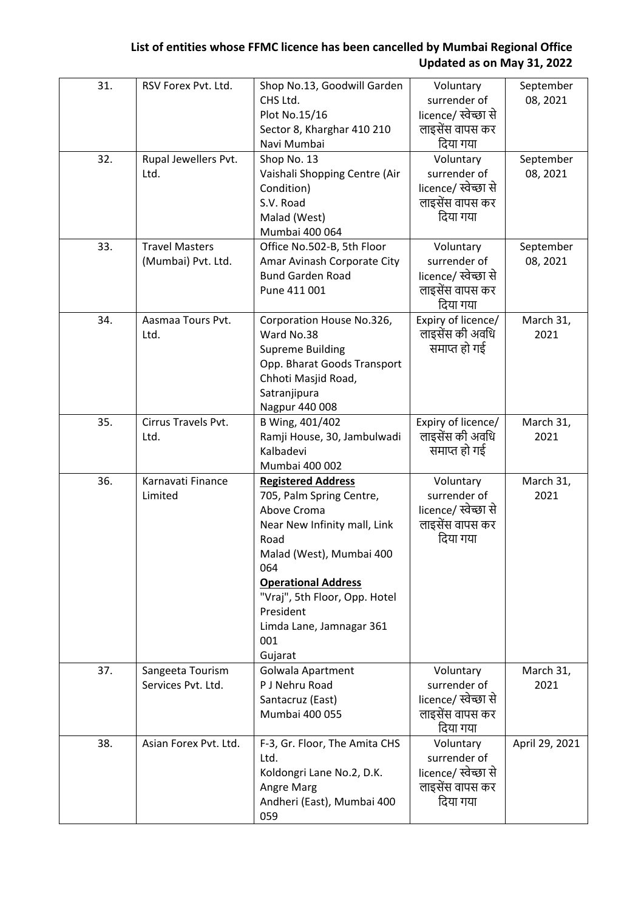| 31. | RSV Forex Pvt. Ltd.                         | Shop No.13, Goodwill Garden<br>CHS Ltd.<br>Plot No.15/16<br>Sector 8, Kharghar 410 210<br>Navi Mumbai                                                                                                                                                                     | Voluntary<br>surrender of<br>licence/ स्वेच्छा से<br>लाइसेंस वापस कर<br>दिया गया | September<br>08, 2021 |
|-----|---------------------------------------------|---------------------------------------------------------------------------------------------------------------------------------------------------------------------------------------------------------------------------------------------------------------------------|----------------------------------------------------------------------------------|-----------------------|
| 32. | Rupal Jewellers Pvt.<br>Ltd.                | Shop No. 13<br>Vaishali Shopping Centre (Air<br>Condition)<br>S.V. Road<br>Malad (West)<br>Mumbai 400 064                                                                                                                                                                 | Voluntary<br>surrender of<br>licence/ स्वेच्छा से<br>लाइसेंस वापस कर<br>दिया गया | September<br>08, 2021 |
| 33. | <b>Travel Masters</b><br>(Mumbai) Pvt. Ltd. | Office No.502-B, 5th Floor<br>Amar Avinash Corporate City<br><b>Bund Garden Road</b><br>Pune 411 001                                                                                                                                                                      | Voluntary<br>surrender of<br>licence/ स्वेच्छा से<br>लाइसेंस वापस कर<br>दिया गया | September<br>08, 2021 |
| 34. | Aasmaa Tours Pvt.<br>Ltd.                   | Corporation House No.326,<br>Ward No.38<br><b>Supreme Building</b><br>Opp. Bharat Goods Transport<br>Chhoti Masjid Road,<br>Satranjipura<br>Nagpur 440 008                                                                                                                | Expiry of licence/<br>लाइसेंस की अवधि<br>समाप्त हो गई                            | March 31,<br>2021     |
| 35. | Cirrus Travels Pvt.<br>Ltd.                 | B Wing, 401/402<br>Ramji House, 30, Jambulwadi<br>Kalbadevi<br>Mumbai 400 002                                                                                                                                                                                             | Expiry of licence/<br>लाइसेंस की अवधि<br>समाप्त हो गई                            | March 31,<br>2021     |
| 36. | Karnavati Finance<br>Limited                | <b>Registered Address</b><br>705, Palm Spring Centre,<br>Above Croma<br>Near New Infinity mall, Link<br>Road<br>Malad (West), Mumbai 400<br>064<br><b>Operational Address</b><br>"Vraj", 5th Floor, Opp. Hotel<br>President<br>Limda Lane, Jamnagar 361<br>001<br>Gujarat | Voluntary<br>surrender of<br>licence/ स्वेच्छा से<br>लाइसेंस वापस कर<br>दिया गया | March 31,<br>2021     |
| 37. | Sangeeta Tourism<br>Services Pvt. Ltd.      | Golwala Apartment<br>P J Nehru Road<br>Santacruz (East)<br>Mumbai 400 055                                                                                                                                                                                                 | Voluntary<br>surrender of<br>licence/ स्वेच्छा से<br>लाइसेंस वापस कर<br>दिया गया | March 31,<br>2021     |
| 38. | Asian Forex Pvt. Ltd.                       | F-3, Gr. Floor, The Amita CHS<br>Ltd.<br>Koldongri Lane No.2, D.K.<br>Angre Marg<br>Andheri (East), Mumbai 400<br>059                                                                                                                                                     | Voluntary<br>surrender of<br>licence/ स्वेच्छा से<br>लाइसेंस वापस कर<br>दिया गया | April 29, 2021        |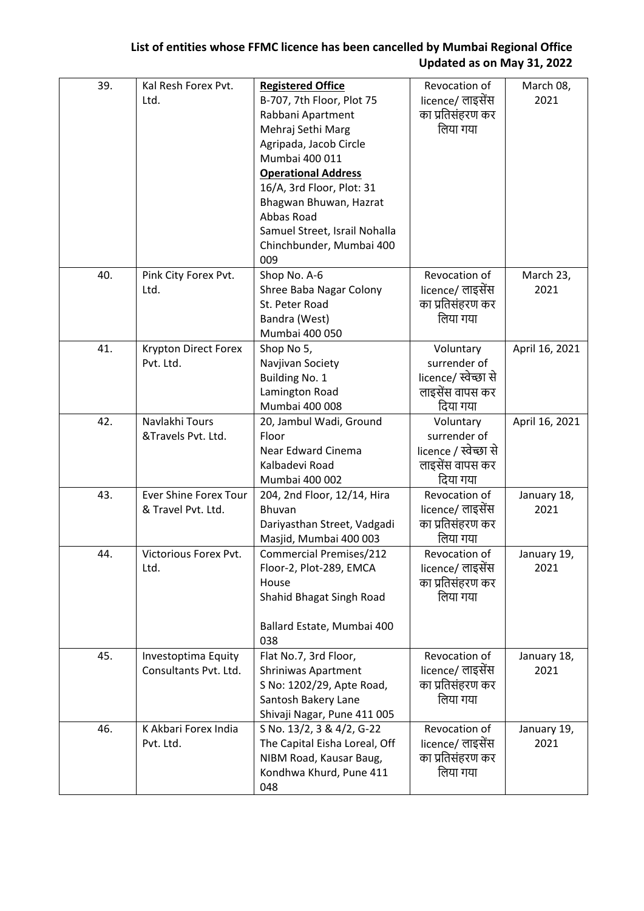| 39. | Kal Resh Forex Pvt.<br>Ltd.                        | <b>Registered Office</b><br>B-707, 7th Floor, Plot 75<br>Rabbani Apartment<br>Mehraj Sethi Marg<br>Agripada, Jacob Circle<br>Mumbai 400 011<br><b>Operational Address</b><br>16/A, 3rd Floor, Plot: 31<br>Bhagwan Bhuwan, Hazrat<br>Abbas Road<br>Samuel Street, Israil Nohalla<br>Chinchbunder, Mumbai 400<br>009 | Revocation of<br>licence/ लाइसेंस<br>का प्रतिसंहरण कर<br>लिया गया                 | March 08,<br>2021   |
|-----|----------------------------------------------------|--------------------------------------------------------------------------------------------------------------------------------------------------------------------------------------------------------------------------------------------------------------------------------------------------------------------|-----------------------------------------------------------------------------------|---------------------|
| 40. | Pink City Forex Pvt.<br>Ltd.                       | Shop No. A-6<br>Shree Baba Nagar Colony<br>St. Peter Road<br>Bandra (West)<br>Mumbai 400 050                                                                                                                                                                                                                       | Revocation of<br>licence/ लाइसेंस<br>का प्रतिसंहरण कर<br>लिया गया                 | March 23,<br>2021   |
| 41. | Krypton Direct Forex<br>Pvt. Ltd.                  | Shop No 5,<br>Navjivan Society<br>Building No. 1<br>Lamington Road<br>Mumbai 400 008                                                                                                                                                                                                                               | Voluntary<br>surrender of<br>licence/ स्वेच्छा से<br>लाइसेंस वापस कर<br>दिया गया  | April 16, 2021      |
| 42. | Navlakhi Tours<br>&Travels Pvt. Ltd.               | 20, Jambul Wadi, Ground<br>Floor<br>Near Edward Cinema<br>Kalbadevi Road<br>Mumbai 400 002                                                                                                                                                                                                                         | Voluntary<br>surrender of<br>licence / स्वेच्छा से<br>लाइसेंस वापस कर<br>दिया गया | April 16, 2021      |
| 43. | <b>Ever Shine Forex Tour</b><br>& Travel Pvt. Ltd. | 204, 2nd Floor, 12/14, Hira<br>Bhuvan<br>Dariyasthan Street, Vadgadi<br>Masjid, Mumbai 400 003                                                                                                                                                                                                                     | Revocation of<br>licence/ लाइसेंस<br>का प्रतिसंहरण कर<br>लिया गया                 | January 18,<br>2021 |
| 44. | Victorious Forex Pvt.<br>Ltd.                      | <b>Commercial Premises/212</b><br>Floor-2, Plot-289, EMCA<br>House<br>Shahid Bhagat Singh Road<br>Ballard Estate, Mumbai 400<br>038                                                                                                                                                                                | Revocation of<br>licence/ लाइसेंस<br>का प्रतिसंहरण कर<br>लिया गया                 | January 19,<br>2021 |
| 45. | Investoptima Equity<br>Consultants Pvt. Ltd.       | Flat No.7, 3rd Floor,<br><b>Shriniwas Apartment</b><br>S No: 1202/29, Apte Road,<br>Santosh Bakery Lane<br>Shivaji Nagar, Pune 411 005                                                                                                                                                                             | Revocation of<br>licence/ लाइसेंस<br>का प्रतिसंहरण कर<br>लिया गया                 | January 18,<br>2021 |
| 46. | K Akbari Forex India<br>Pvt. Ltd.                  | S No. 13/2, 3 & 4/2, G-22<br>The Capital Eisha Loreal, Off<br>NIBM Road, Kausar Baug,<br>Kondhwa Khurd, Pune 411<br>048                                                                                                                                                                                            | Revocation of<br>licence/ लाइसेंस<br>का प्रतिसंहरण कर<br>लिया गया                 | January 19,<br>2021 |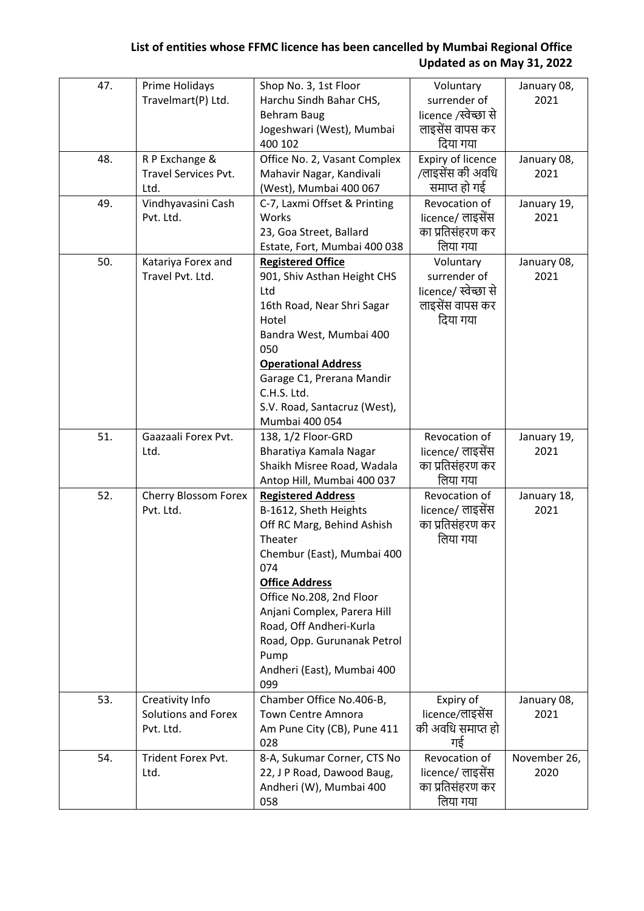| 47. | Prime Holidays              | Shop No. 3, 1st Floor          | Voluntary                | January 08,  |
|-----|-----------------------------|--------------------------------|--------------------------|--------------|
|     | Travelmart(P) Ltd.          | Harchu Sindh Bahar CHS,        | surrender of             | 2021         |
|     |                             | <b>Behram Baug</b>             | licence /स्वेच्छा से     |              |
|     |                             | Jogeshwari (West), Mumbai      | लाइसेंस वापस कर          |              |
|     |                             | 400 102                        | दिया गया                 |              |
| 48. | R P Exchange &              | Office No. 2, Vasant Complex   | <b>Expiry of licence</b> | January 08,  |
|     | <b>Travel Services Pvt.</b> | Mahavir Nagar, Kandivali       | /लाइसेंस की अवधि         | 2021         |
|     | Ltd.                        | (West), Mumbai 400 067         | समाप्त हो गई             |              |
| 49. | Vindhyavasini Cash          | C-7, Laxmi Offset & Printing   | Revocation of            | January 19,  |
|     | Pvt. Ltd.                   | Works                          | licence/ लाइसेंस         | 2021         |
|     |                             | 23, Goa Street, Ballard        | का प्रतिसंहरण कर         |              |
|     |                             | Estate, Fort, Mumbai 400 038   | लिया गया                 |              |
| 50. | Katariya Forex and          | <b>Registered Office</b>       | Voluntary                | January 08,  |
|     | Travel Pvt. Ltd.            | 901, Shiv Asthan Height CHS    | surrender of             | 2021         |
|     |                             | Ltd                            | licence/ स्वेच्छा से     |              |
|     |                             | 16th Road, Near Shri Sagar     | लाइसेंस वापस कर          |              |
|     |                             | Hotel                          | दिया गया                 |              |
|     |                             | Bandra West, Mumbai 400<br>050 |                          |              |
|     |                             | <b>Operational Address</b>     |                          |              |
|     |                             | Garage C1, Prerana Mandir      |                          |              |
|     |                             | C.H.S. Ltd.                    |                          |              |
|     |                             | S.V. Road, Santacruz (West),   |                          |              |
|     |                             | Mumbai 400 054                 |                          |              |
| 51. | Gaazaali Forex Pvt.         | 138, 1/2 Floor-GRD             | Revocation of            | January 19,  |
|     | Ltd.                        | Bharatiya Kamala Nagar         | licence/ लाइसेंस         | 2021         |
|     |                             | Shaikh Misree Road, Wadala     | का प्रतिसंहरण कर         |              |
|     |                             | Antop Hill, Mumbai 400 037     | लिया गया                 |              |
| 52. | Cherry Blossom Forex        | <b>Registered Address</b>      | Revocation of            | January 18,  |
|     | Pvt. Ltd.                   | B-1612, Sheth Heights          | licence/ लाइसेंस         | 2021         |
|     |                             | Off RC Marg, Behind Ashish     | का प्रतिसंहरण कर         |              |
|     |                             | Theater                        | लिया गया                 |              |
|     |                             | Chembur (East), Mumbai 400     |                          |              |
|     |                             | 074                            |                          |              |
|     |                             | <b>Office Address</b>          |                          |              |
|     |                             | Office No.208, 2nd Floor       |                          |              |
|     |                             | Anjani Complex, Parera Hill    |                          |              |
|     |                             | Road, Off Andheri-Kurla        |                          |              |
|     |                             | Road, Opp. Gurunanak Petrol    |                          |              |
|     |                             | Pump                           |                          |              |
|     |                             | Andheri (East), Mumbai 400     |                          |              |
|     |                             | 099                            |                          |              |
| 53. | Creativity Info             | Chamber Office No.406-B,       | Expiry of                | January 08,  |
|     | Solutions and Forex         | <b>Town Centre Amnora</b>      | licence/लाइसेंस          | 2021         |
|     | Pvt. Ltd.                   | Am Pune City (CB), Pune 411    | की अवधि समाप्त हो        |              |
|     |                             | 028                            | गई                       |              |
| 54. | Trident Forex Pvt.          | 8-A, Sukumar Corner, CTS No    | Revocation of            | November 26, |
|     | Ltd.                        | 22, J P Road, Dawood Baug,     | licence/ लाइसेंस         | 2020         |
|     |                             | Andheri (W), Mumbai 400        | का प्रतिसंहरण कर         |              |
|     |                             | 058                            | लिया गया                 |              |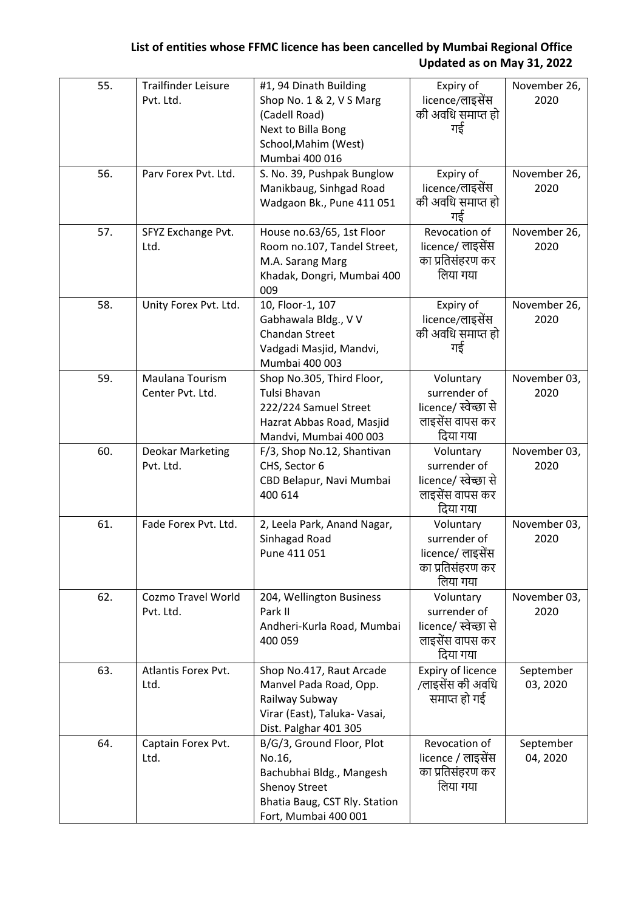| 55. | <b>Trailfinder Leisure</b><br>Pvt. Ltd. | #1, 94 Dinath Building<br>Shop No. 1 & 2, V S Marg<br>(Cadell Road)<br>Next to Billa Bong<br>School, Mahim (West)<br>Mumbai 400 016              | Expiry of<br>licence/लाइसेंस<br>की अवधि समाप्त हो<br>गई                          | November 26,<br>2020  |
|-----|-----------------------------------------|--------------------------------------------------------------------------------------------------------------------------------------------------|----------------------------------------------------------------------------------|-----------------------|
| 56. | Parv Forex Pvt. Ltd.                    | S. No. 39, Pushpak Bunglow<br>Manikbaug, Sinhgad Road<br>Wadgaon Bk., Pune 411 051                                                               | Expiry of<br>licence/लाइसेंस<br>की अवधि समाप्त हो<br>गई                          | November 26,<br>2020  |
| 57. | SFYZ Exchange Pvt.<br>Ltd.              | House no.63/65, 1st Floor<br>Room no.107, Tandel Street,<br>M.A. Sarang Marg<br>Khadak, Dongri, Mumbai 400<br>009                                | Revocation of<br>licence/ लाइसेंस<br>का प्रतिसंहरण कर<br>लिया गया                | November 26,<br>2020  |
| 58. | Unity Forex Pvt. Ltd.                   | 10, Floor-1, 107<br>Gabhawala Bldg., V V<br><b>Chandan Street</b><br>Vadgadi Masjid, Mandvi,<br>Mumbai 400 003                                   | Expiry of<br>licence/लाइसेंस<br>की अवधि समाप्त हो<br>गई                          | November 26,<br>2020  |
| 59. | Maulana Tourism<br>Center Pvt. Ltd.     | Shop No.305, Third Floor,<br>Tulsi Bhavan<br>222/224 Samuel Street<br>Hazrat Abbas Road, Masjid<br>Mandvi, Mumbai 400 003                        | Voluntary<br>surrender of<br>licence/ स्वेच्छा से<br>लाइसेंस वापस कर<br>दिया गया | November 03,<br>2020  |
| 60. | <b>Deokar Marketing</b><br>Pvt. Ltd.    | F/3, Shop No.12, Shantivan<br>CHS, Sector 6<br>CBD Belapur, Navi Mumbai<br>400 614                                                               | Voluntary<br>surrender of<br>licence/ स्वेच्छा से<br>लाइसेंस वापस कर<br>दिया गया | November 03,<br>2020  |
| 61. | Fade Forex Pvt. Ltd.                    | 2, Leela Park, Anand Nagar,<br>Sinhagad Road<br>Pune 411 051                                                                                     | Voluntary<br>surrender of<br>licence/ लाइसेंस<br>का प्रतिसंहरण कर<br>लिया गया    | November 03,<br>2020  |
| 62. | <b>Cozmo Travel World</b><br>Pvt. Ltd.  | 204, Wellington Business<br>Park II<br>Andheri-Kurla Road, Mumbai<br>400 059                                                                     | Voluntary<br>surrender of<br>licence/ स्वेच्छा से<br>लाइसेंस वापस कर<br>दिया गया | November 03,<br>2020  |
| 63. | Atlantis Forex Pvt.<br>Ltd.             | Shop No.417, Raut Arcade<br>Manvel Pada Road, Opp.<br>Railway Subway<br>Virar (East), Taluka- Vasai,<br>Dist. Palghar 401 305                    | Expiry of licence<br>/लाइसेंस की अवधि<br>समाप्त हो गई                            | September<br>03, 2020 |
| 64. | Captain Forex Pvt.<br>Ltd.              | B/G/3, Ground Floor, Plot<br>No.16,<br>Bachubhai Bldg., Mangesh<br><b>Shenoy Street</b><br>Bhatia Baug, CST Rly. Station<br>Fort, Mumbai 400 001 | Revocation of<br>licence / लाइसेंस<br>का प्रतिसंहरण कर<br>लिया गया               | September<br>04, 2020 |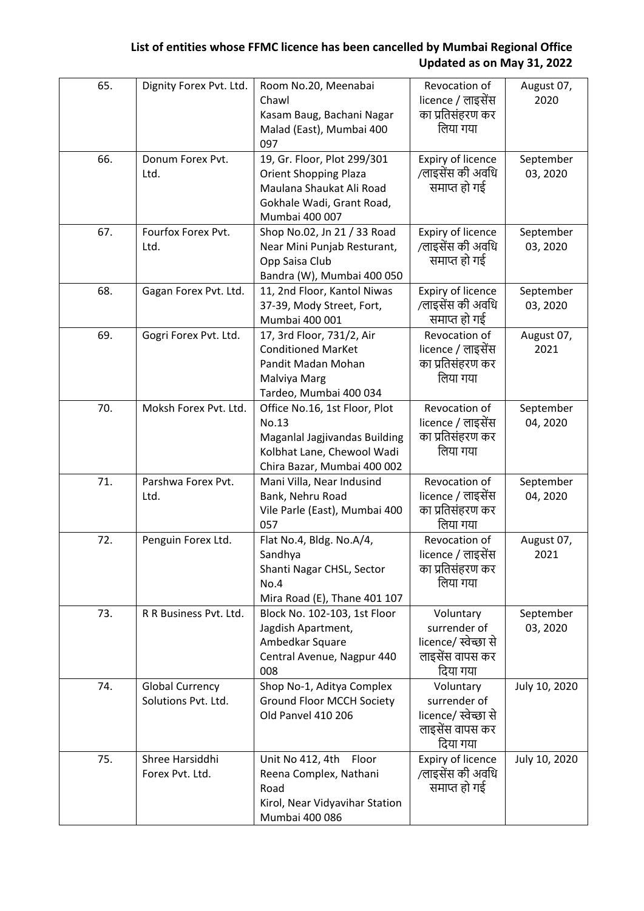| 65. | Dignity Forex Pvt. Ltd.                       | Room No.20, Meenabai<br>Chawl<br>Kasam Baug, Bachani Nagar<br>Malad (East), Mumbai 400<br>097                                          | Revocation of<br>licence / लाइसेंस<br>का प्रतिसंहरण कर<br>लिया गया               | August 07,<br>2020    |
|-----|-----------------------------------------------|----------------------------------------------------------------------------------------------------------------------------------------|----------------------------------------------------------------------------------|-----------------------|
| 66. | Donum Forex Pvt.<br>Ltd.                      | 19, Gr. Floor, Plot 299/301<br><b>Orient Shopping Plaza</b><br>Maulana Shaukat Ali Road<br>Gokhale Wadi, Grant Road,<br>Mumbai 400 007 | Expiry of licence<br>/लाइसेंस की अवधि<br>समाप्त हो गई                            | September<br>03, 2020 |
| 67. | Fourfox Forex Pvt.<br>Ltd.                    | Shop No.02, Jn 21 / 33 Road<br>Near Mini Punjab Resturant,<br>Opp Saisa Club<br>Bandra (W), Mumbai 400 050                             | <b>Expiry of licence</b><br>/लाइसेंस की अवधि<br>समाप्त हो गई                     | September<br>03, 2020 |
| 68. | Gagan Forex Pvt. Ltd.                         | 11, 2nd Floor, Kantol Niwas<br>37-39, Mody Street, Fort,<br>Mumbai 400 001                                                             | Expiry of licence<br>/लाइसेंस की अवधि<br>समाप्त हो गई                            | September<br>03, 2020 |
| 69. | Gogri Forex Pvt. Ltd.                         | 17, 3rd Floor, 731/2, Air<br><b>Conditioned MarKet</b><br>Pandit Madan Mohan<br>Malviya Marg<br>Tardeo, Mumbai 400 034                 | Revocation of<br>licence / लाइसेंस<br>का प्रतिसंहरण कर<br>लिया गया               | August 07,<br>2021    |
| 70. | Moksh Forex Pvt. Ltd.                         | Office No.16, 1st Floor, Plot<br>No.13<br>Maganlal Jagjivandas Building<br>Kolbhat Lane, Chewool Wadi<br>Chira Bazar, Mumbai 400 002   | Revocation of<br>licence / लाइसेंस<br>का प्रतिसंहरण कर<br>लिया गया               | September<br>04, 2020 |
| 71. | Parshwa Forex Pvt.<br>Ltd.                    | Mani Villa, Near Indusind<br>Bank, Nehru Road<br>Vile Parle (East), Mumbai 400<br>057                                                  | Revocation of<br>licence / लाइसेंस<br>का प्रतिसंहरण कर<br>लिया गया               | September<br>04, 2020 |
| 72. | Penguin Forex Ltd.                            | Flat No.4, Bldg. No.A/4,<br>Sandhya<br>Shanti Nagar CHSL, Sector<br>No.4<br>Mira Road (E), Thane 401 107                               | Revocation of<br>licence / लाइसेंस<br>का प्रतिसंहरण कर<br>लिया गया               | August 07,<br>2021    |
| 73. | R R Business Pvt. Ltd.                        | Block No. 102-103, 1st Floor<br>Jagdish Apartment,<br>Ambedkar Square<br>Central Avenue, Nagpur 440<br>008                             | Voluntary<br>surrender of<br>licence/ स्वेच्छा से<br>लाइसेंस वापस कर<br>दिया गया | September<br>03, 2020 |
| 74. | <b>Global Currency</b><br>Solutions Pvt. Ltd. | Shop No-1, Aditya Complex<br><b>Ground Floor MCCH Society</b><br>Old Panvel 410 206                                                    | Voluntary<br>surrender of<br>licence/ स्वेच्छा से<br>लाइसेंस वापस कर<br>दिया गया | July 10, 2020         |
| 75. | Shree Harsiddhi<br>Forex Pvt. Ltd.            | Unit No 412, 4th<br>Floor<br>Reena Complex, Nathani<br>Road<br>Kirol, Near Vidyavihar Station<br>Mumbai 400 086                        | Expiry of licence<br>/लाइसेंस की अवधि<br>समाप्त हो गई                            | July 10, 2020         |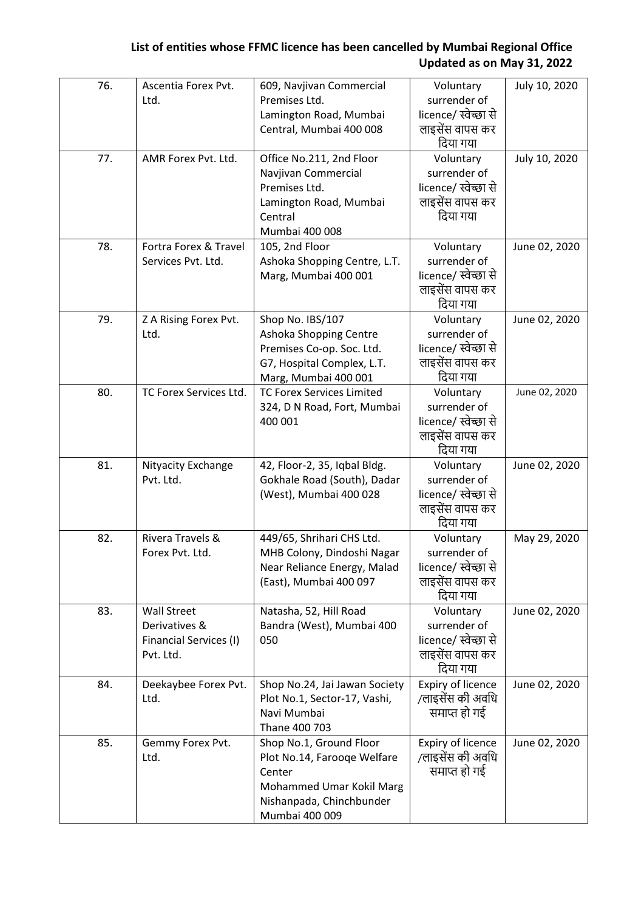| 76. | Ascentia Forex Pvt.          | 609, Navjivan Commercial                                      | Voluntary                               | July 10, 2020 |
|-----|------------------------------|---------------------------------------------------------------|-----------------------------------------|---------------|
|     | Ltd.                         | Premises Ltd.                                                 | surrender of                            |               |
|     |                              | Lamington Road, Mumbai                                        | licence/ स्वेच्छा से                    |               |
|     |                              | Central, Mumbai 400 008                                       | लाइसेंस वापस कर                         |               |
|     |                              |                                                               | दिया गया                                |               |
| 77. | AMR Forex Pvt. Ltd.          | Office No.211, 2nd Floor                                      | Voluntary                               | July 10, 2020 |
|     |                              | Navjivan Commercial<br>Premises Ltd.                          | surrender of<br>licence/ स्वेच्छा से    |               |
|     |                              | Lamington Road, Mumbai                                        | लाइसेंस वापस कर                         |               |
|     |                              | Central                                                       | दिया गया                                |               |
|     |                              | Mumbai 400 008                                                |                                         |               |
| 78. | Fortra Forex & Travel        | 105, 2nd Floor                                                | Voluntary                               | June 02, 2020 |
|     | Services Pvt. Ltd.           | Ashoka Shopping Centre, L.T.                                  | surrender of                            |               |
|     |                              | Marg, Mumbai 400 001                                          | licence/ स्वेच्छा से                    |               |
|     |                              |                                                               | लाइसेंस वापस कर                         |               |
|     |                              |                                                               | दिया गया                                |               |
| 79. | Z A Rising Forex Pvt.        | Shop No. IBS/107                                              | Voluntary                               | June 02, 2020 |
|     | Ltd.                         | Ashoka Shopping Centre                                        | surrender of                            |               |
|     |                              | Premises Co-op. Soc. Ltd.                                     | licence/ स्वेच्छा से<br>लाइसेंस वापस कर |               |
|     |                              | G7, Hospital Complex, L.T.<br>Marg, Mumbai 400 001            | दिया गया                                |               |
| 80. | TC Forex Services Ltd.       | <b>TC Forex Services Limited</b>                              | Voluntary                               | June 02, 2020 |
|     |                              | 324, D N Road, Fort, Mumbai                                   | surrender of                            |               |
|     |                              | 400 001                                                       | licence/ स्वेच्छा से                    |               |
|     |                              |                                                               | लाइसेंस वापस कर                         |               |
|     |                              |                                                               | दिया गया                                |               |
| 81. | Nityacity Exchange           | 42, Floor-2, 35, Iqbal Bldg.                                  | Voluntary                               | June 02, 2020 |
|     | Pvt. Ltd.                    | Gokhale Road (South), Dadar                                   | surrender of                            |               |
|     |                              | (West), Mumbai 400 028                                        | licence/ स्वेच्छा से                    |               |
|     |                              |                                                               | लाइसेंस वापस कर                         |               |
| 82. | Rivera Travels &             | 449/65, Shrihari CHS Ltd.                                     | दिया गया<br>Voluntary                   | May 29, 2020  |
|     | Forex Pvt. Ltd.              | MHB Colony, Dindoshi Nagar                                    | surrender of                            |               |
|     |                              | Near Reliance Energy, Malad                                   | licence/ स्वेच्छा से                    |               |
|     |                              | (East), Mumbai 400 097                                        | लाइसेंस वापस कर                         |               |
|     |                              |                                                               | दिया गया                                |               |
| 83. | <b>Wall Street</b>           | Natasha, 52, Hill Road                                        | Voluntary                               | June 02, 2020 |
|     | Derivatives &                | Bandra (West), Mumbai 400                                     | surrender of                            |               |
|     | Financial Services (I)       | 050                                                           | licence/ स्वेच्छा से                    |               |
|     | Pvt. Ltd.                    |                                                               | लाइसेंस वापस कर                         |               |
|     |                              |                                                               | दिया गया                                |               |
| 84. | Deekaybee Forex Pvt.<br>Ltd. | Shop No.24, Jai Jawan Society<br>Plot No.1, Sector-17, Vashi, | Expiry of licence<br>/लाइसेंस की अवधि   | June 02, 2020 |
|     |                              | Navi Mumbai                                                   | समाप्त हो गई                            |               |
|     |                              | Thane 400 703                                                 |                                         |               |
| 85. | Gemmy Forex Pvt.             | Shop No.1, Ground Floor                                       | Expiry of licence                       | June 02, 2020 |
|     | Ltd.                         | Plot No.14, Farooqe Welfare                                   | /लाइसेंस की अवधि                        |               |
|     |                              | Center                                                        | समाप्त हो गई                            |               |
|     |                              | Mohammed Umar Kokil Marg                                      |                                         |               |
|     |                              | Nishanpada, Chinchbunder                                      |                                         |               |
|     |                              | Mumbai 400 009                                                |                                         |               |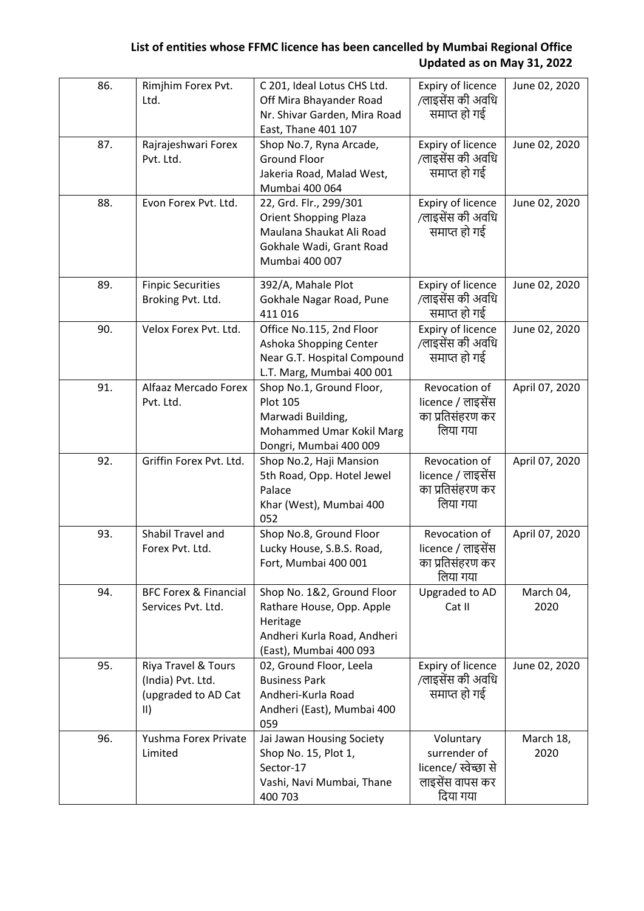| 86. | Rimjhim Forex Pvt.<br>Ltd.                                                       | C 201, Ideal Lotus CHS Ltd.<br>Off Mira Bhayander Road<br>Nr. Shivar Garden, Mira Road<br>East, Thane 401 107                    | Expiry of licence<br>/लाइसेंस की अवधि<br>समाप्त हो गई                            | June 02, 2020     |
|-----|----------------------------------------------------------------------------------|----------------------------------------------------------------------------------------------------------------------------------|----------------------------------------------------------------------------------|-------------------|
| 87. | Rajrajeshwari Forex<br>Pvt. Ltd.                                                 | Shop No.7, Ryna Arcade,<br><b>Ground Floor</b><br>Jakeria Road, Malad West,<br>Mumbai 400 064                                    | Expiry of licence<br>/लाइसेंस की अवधि<br>समाप्त हो गई                            | June 02, 2020     |
| 88. | Evon Forex Pvt. Ltd.                                                             | 22, Grd. Flr., 299/301<br><b>Orient Shopping Plaza</b><br>Maulana Shaukat Ali Road<br>Gokhale Wadi, Grant Road<br>Mumbai 400 007 | Expiry of licence<br>/लाइसेंस की अवधि<br>समाप्त हो गई                            | June 02, 2020     |
| 89. | <b>Finpic Securities</b><br>Broking Pvt. Ltd.                                    | 392/A, Mahale Plot<br>Gokhale Nagar Road, Pune<br>411016                                                                         | Expiry of licence<br>/लाइसेंस की अवधि<br>समाप्त हो गई                            | June 02, 2020     |
| 90. | Velox Forex Pvt. Ltd.                                                            | Office No.115, 2nd Floor<br>Ashoka Shopping Center<br>Near G.T. Hospital Compound<br>L.T. Marg, Mumbai 400 001                   | Expiry of licence<br>/लाइसेंस की अवधि<br>समाप्त हो गई                            | June 02, 2020     |
| 91. | Alfaaz Mercado Forex<br>Pvt. Ltd.                                                | Shop No.1, Ground Floor,<br><b>Plot 105</b><br>Marwadi Building,<br>Mohammed Umar Kokil Marg<br>Dongri, Mumbai 400 009           | Revocation of<br>licence / लाइसेंस<br>का प्रतिसंहरण कर<br>लिया गया               | April 07, 2020    |
| 92. | Griffin Forex Pvt. Ltd.                                                          | Shop No.2, Haji Mansion<br>5th Road, Opp. Hotel Jewel<br>Palace<br>Khar (West), Mumbai 400<br>052                                | Revocation of<br>licence / लाइसेंस<br>का प्रतिसंहरण कर<br>लिया गया               | April 07, 2020    |
| 93. | Shabil Travel and<br>Forex Pvt. Ltd.                                             | Shop No.8, Ground Floor<br>Lucky House, S.B.S. Road,<br>Fort, Mumbai 400 001                                                     | Revocation of<br>licence / लाइसेंस<br>का प्रतिसंहरण कर<br>लिया गया               | April 07, 2020    |
| 94. | <b>BFC Forex &amp; Financial</b><br>Services Pvt. Ltd.                           | Shop No. 1&2, Ground Floor<br>Rathare House, Opp. Apple<br>Heritage<br>Andheri Kurla Road, Andheri<br>(East), Mumbai 400 093     | Upgraded to AD<br>Cat II                                                         | March 04,<br>2020 |
| 95. | Riya Travel & Tours<br>(India) Pvt. Ltd.<br>(upgraded to AD Cat<br>$\vert \vert$ | 02, Ground Floor, Leela<br><b>Business Park</b><br>Andheri-Kurla Road<br>Andheri (East), Mumbai 400<br>059                       | Expiry of licence<br>/लाइसेंस की अवधि<br>समाप्त हो गई                            | June 02, 2020     |
| 96. | Yushma Forex Private<br>Limited                                                  | Jai Jawan Housing Society<br>Shop No. 15, Plot 1,<br>Sector-17<br>Vashi, Navi Mumbai, Thane<br>400 703                           | Voluntary<br>surrender of<br>licence/ स्वेच्छा से<br>लाइसेंस वापस कर<br>दिया गया | March 18,<br>2020 |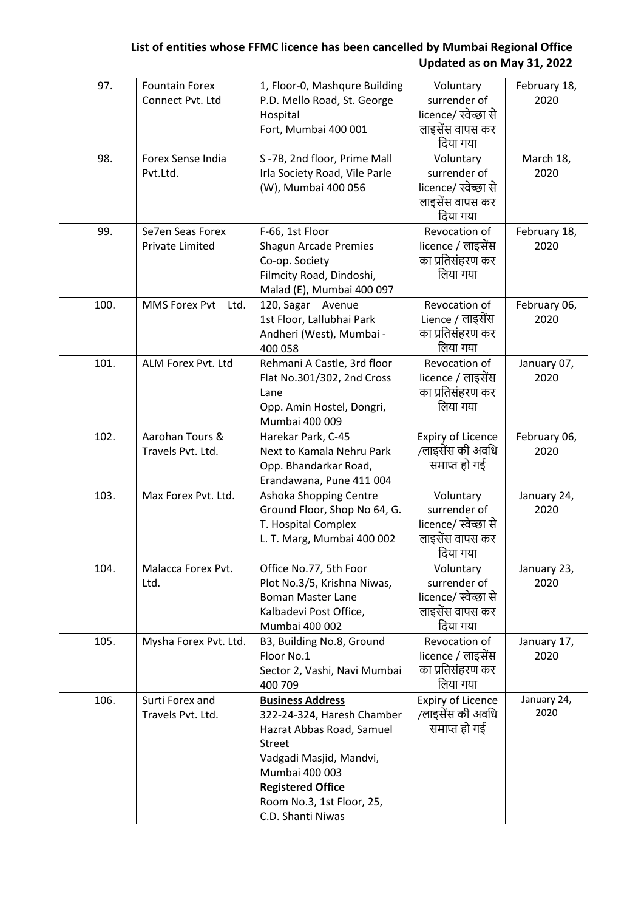| 97.  | <b>Fountain Forex</b><br>Connect Pvt. Ltd  | 1, Floor-0, Mashqure Building<br>P.D. Mello Road, St. George<br>Hospital<br>Fort, Mumbai 400 001                                                                                                                               | Voluntary<br>surrender of<br>licence/ स्वेच्छा से<br>लाइसेंस वापस कर<br>दिया गया | February 18,<br>2020 |
|------|--------------------------------------------|--------------------------------------------------------------------------------------------------------------------------------------------------------------------------------------------------------------------------------|----------------------------------------------------------------------------------|----------------------|
| 98.  | Forex Sense India<br>Pvt.Ltd.              | S-7B, 2nd floor, Prime Mall<br>Irla Society Road, Vile Parle<br>(W), Mumbai 400 056                                                                                                                                            | Voluntary<br>surrender of<br>licence/ स्वेच्छा से<br>लाइसेंस वापस कर<br>दिया गया | March 18,<br>2020    |
| 99.  | Se7en Seas Forex<br><b>Private Limited</b> | F-66, 1st Floor<br>Shagun Arcade Premies<br>Co-op. Society<br>Filmcity Road, Dindoshi,<br>Malad (E), Mumbai 400 097                                                                                                            | Revocation of<br>licence / लाइसेंस<br>का प्रतिसंहरण कर<br>लिया गया               | February 18,<br>2020 |
| 100. | <b>MMS Forex Pvt</b><br>Ltd.               | 120, Sagar Avenue<br>1st Floor, Lallubhai Park<br>Andheri (West), Mumbai -<br>400 058                                                                                                                                          | Revocation of<br>Lience / लाइसेंस<br>का प्रतिसंहरण कर<br>लिया गया                | February 06,<br>2020 |
| 101. | ALM Forex Pvt. Ltd                         | Rehmani A Castle, 3rd floor<br>Flat No.301/302, 2nd Cross<br>Lane<br>Opp. Amin Hostel, Dongri,<br>Mumbai 400 009                                                                                                               | Revocation of<br>licence / लाइसेंस<br>का प्रतिसंहरण कर<br>लिया गया               | January 07,<br>2020  |
| 102. | Aarohan Tours &<br>Travels Pvt. Ltd.       | Harekar Park, C-45<br>Next to Kamala Nehru Park<br>Opp. Bhandarkar Road,<br>Erandawana, Pune 411 004                                                                                                                           | <b>Expiry of Licence</b><br>/लाइसेंस की अवधि<br>समाप्त हो गई                     | February 06,<br>2020 |
| 103. | Max Forex Pvt. Ltd.                        | Ashoka Shopping Centre<br>Ground Floor, Shop No 64, G.<br>T. Hospital Complex<br>L. T. Marg, Mumbai 400 002                                                                                                                    | Voluntary<br>surrender of<br>licence/ स्वेच्छा से<br>लाइसेंस वापस कर<br>दिया गया | January 24,<br>2020  |
| 104. | Malacca Forex Pvt.<br>Ltd.                 | Office No.77, 5th Foor<br>Plot No.3/5, Krishna Niwas,<br><b>Boman Master Lane</b><br>Kalbadevi Post Office,<br>Mumbai 400 002                                                                                                  | Voluntary<br>surrender of<br>licence/ स्वेच्छा से<br>लाइसेंस वापस कर<br>दिया गया | January 23,<br>2020  |
| 105. | Mysha Forex Pvt. Ltd.                      | B3, Building No.8, Ground<br>Floor No.1<br>Sector 2, Vashi, Navi Mumbai<br>400 709                                                                                                                                             | Revocation of<br>licence / लाइसेंस<br>का प्रतिसंहरण कर<br>लिया गया               | January 17,<br>2020  |
| 106. | Surti Forex and<br>Travels Pvt. Ltd.       | <b>Business Address</b><br>322-24-324, Haresh Chamber<br>Hazrat Abbas Road, Samuel<br><b>Street</b><br>Vadgadi Masjid, Mandvi,<br>Mumbai 400 003<br><b>Registered Office</b><br>Room No.3, 1st Floor, 25,<br>C.D. Shanti Niwas | <b>Expiry of Licence</b><br>/लाइसेंस की अवधि<br>समाप्त हो गई                     | January 24,<br>2020  |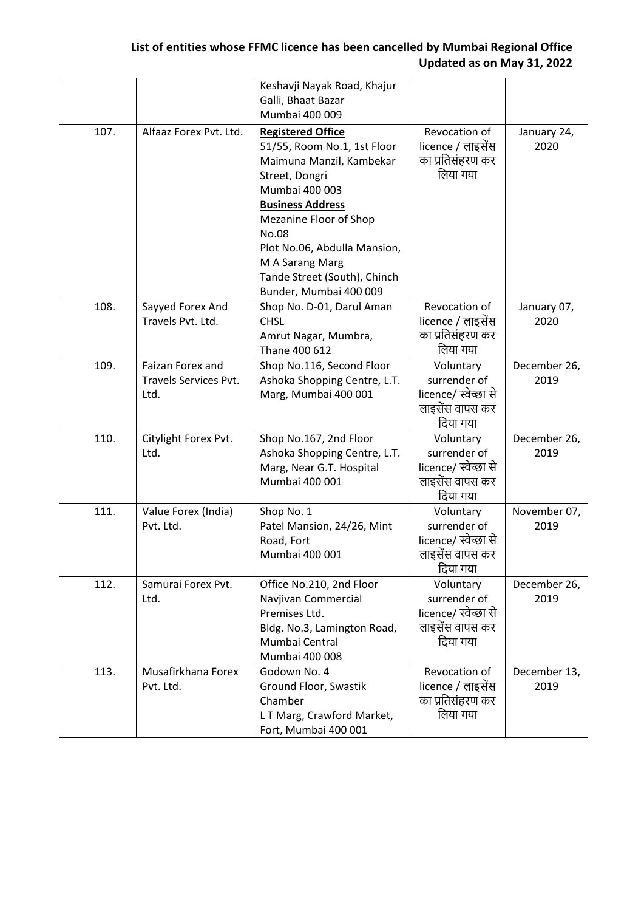|      |                                                   | Keshavji Nayak Road, Khajur<br>Galli, Bhaat Bazar<br>Mumbai 400 009                                                                                                                                                                                                                                |                                                                                  |                      |
|------|---------------------------------------------------|----------------------------------------------------------------------------------------------------------------------------------------------------------------------------------------------------------------------------------------------------------------------------------------------------|----------------------------------------------------------------------------------|----------------------|
| 107. | Alfaaz Forex Pvt. Ltd.                            | <b>Registered Office</b><br>51/55, Room No.1, 1st Floor<br>Maimuna Manzil, Kambekar<br>Street, Dongri<br>Mumbai 400 003<br><b>Business Address</b><br>Mezanine Floor of Shop<br>No.08<br>Plot No.06, Abdulla Mansion,<br>M A Sarang Marg<br>Tande Street (South), Chinch<br>Bunder, Mumbai 400 009 | Revocation of<br>licence / लाइसेंस<br>का प्रतिसंहरण कर<br>लिया गया               | January 24,<br>2020  |
| 108. | Sayyed Forex And<br>Travels Pvt. Ltd.             | Shop No. D-01, Darul Aman<br><b>CHSL</b><br>Amrut Nagar, Mumbra,<br>Thane 400 612                                                                                                                                                                                                                  | Revocation of<br>licence / लाइसेंस<br>का प्रतिसंहरण कर<br>लिया गया               | January 07,<br>2020  |
| 109. | Faizan Forex and<br>Travels Services Pvt.<br>Ltd. | Shop No.116, Second Floor<br>Ashoka Shopping Centre, L.T.<br>Marg, Mumbai 400 001                                                                                                                                                                                                                  | Voluntary<br>surrender of<br>licence/ स्वेच्छा से<br>लाइसेंस वापस कर<br>दिया गया | December 26,<br>2019 |
| 110. | Citylight Forex Pvt.<br>Ltd.                      | Shop No.167, 2nd Floor<br>Ashoka Shopping Centre, L.T.<br>Marg, Near G.T. Hospital<br>Mumbai 400 001                                                                                                                                                                                               | Voluntary<br>surrender of<br>licence/ स्वेच्छा से<br>लाइसेंस वापस कर<br>दिया गया | December 26,<br>2019 |
| 111. | Value Forex (India)<br>Pvt. Ltd.                  | Shop No. 1<br>Patel Mansion, 24/26, Mint<br>Road, Fort<br>Mumbai 400 001                                                                                                                                                                                                                           | Voluntary<br>surrender of<br>licence/ स्वेच्छा से<br>लाइसेंस वापस कर<br>दिया गया | November 07,<br>2019 |
| 112. | Samurai Forex Pvt.<br>Ltd.                        | Office No.210, 2nd Floor<br>Navjivan Commercial<br>Premises Ltd.<br>Bldg. No.3, Lamington Road,<br>Mumbai Central<br>Mumbai 400 008                                                                                                                                                                | Voluntary<br>surrender of<br>licence/ स्वेच्छा से<br>लाइसेंस वापस कर<br>दिया गया | December 26,<br>2019 |
| 113. | Musafirkhana Forex<br>Pvt. Ltd.                   | Godown No. 4<br>Ground Floor, Swastik<br>Chamber<br>LT Marg, Crawford Market,<br>Fort, Mumbai 400 001                                                                                                                                                                                              | Revocation of<br>licence / लाइसेंस<br>का प्रतिसंहरण कर<br>लिया गया               | December 13,<br>2019 |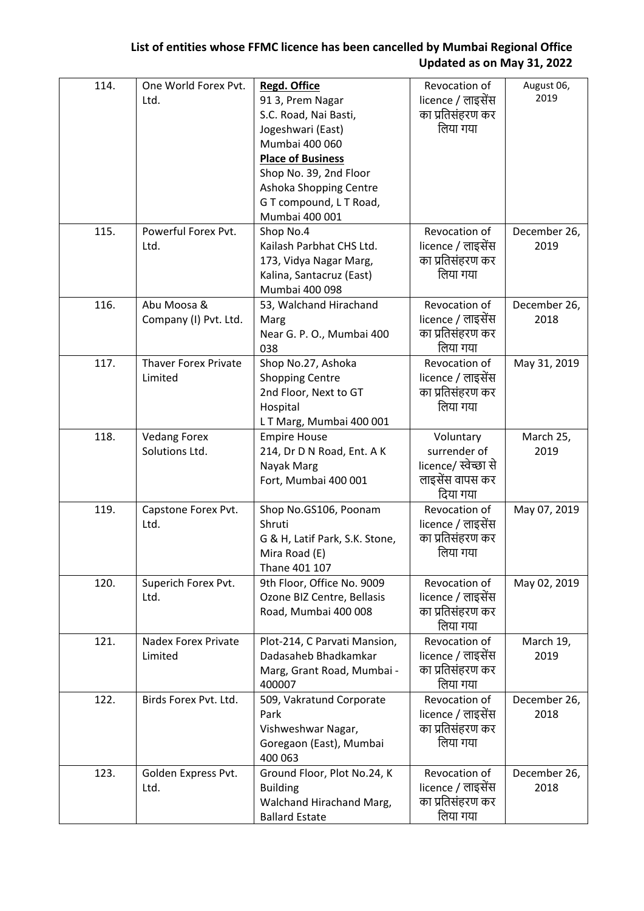| 114. | One World Forex Pvt.<br>Ltd. | <b>Regd. Office</b><br>91 3, Prem Nagar    | Revocation of<br>licence / लाइसेंस | August 06,<br>2019 |
|------|------------------------------|--------------------------------------------|------------------------------------|--------------------|
|      |                              | S.C. Road, Nai Basti,                      | का प्रतिसंहरण कर                   |                    |
|      |                              | Jogeshwari (East)                          | लिया गया                           |                    |
|      |                              | Mumbai 400 060                             |                                    |                    |
|      |                              | <b>Place of Business</b>                   |                                    |                    |
|      |                              | Shop No. 39, 2nd Floor                     |                                    |                    |
|      |                              | Ashoka Shopping Centre                     |                                    |                    |
|      |                              | GT compound, LT Road,                      |                                    |                    |
|      |                              | Mumbai 400 001                             |                                    |                    |
| 115. | Powerful Forex Pvt.          | Shop No.4                                  | Revocation of                      | December 26,       |
|      | Ltd.                         | Kailash Parbhat CHS Ltd.                   | licence / लाइसेंस                  | 2019               |
|      |                              | 173, Vidya Nagar Marg,                     | का प्रतिसंहरण कर<br>लिया गया       |                    |
|      |                              | Kalina, Santacruz (East)<br>Mumbai 400 098 |                                    |                    |
| 116. | Abu Moosa &                  | 53, Walchand Hirachand                     | Revocation of                      | December 26,       |
|      | Company (I) Pvt. Ltd.        | Marg                                       | licence / लाइसेंस                  | 2018               |
|      |                              | Near G. P. O., Mumbai 400                  | का प्रतिसंहरण कर                   |                    |
|      |                              | 038                                        | लिया गया                           |                    |
| 117. | <b>Thaver Forex Private</b>  | Shop No.27, Ashoka                         | Revocation of                      | May 31, 2019       |
|      | Limited                      | <b>Shopping Centre</b>                     | licence / लाइसेंस                  |                    |
|      |                              | 2nd Floor, Next to GT                      | का प्रतिसंहरण कर                   |                    |
|      |                              | Hospital                                   | लिया गया                           |                    |
|      |                              | LT Marg, Mumbai 400 001                    |                                    |                    |
| 118. | <b>Vedang Forex</b>          | <b>Empire House</b>                        | Voluntary                          | March 25,          |
|      | Solutions Ltd.               | 214, Dr D N Road, Ent. A K                 | surrender of                       | 2019               |
|      |                              | Nayak Marg                                 | licence/ स्वेच्छा से               |                    |
|      |                              | Fort, Mumbai 400 001                       | लाइसेंस वापस कर                    |                    |
|      |                              |                                            | दिया गया                           |                    |
| 119. | Capstone Forex Pvt.          | Shop No.GS106, Poonam                      | Revocation of                      | May 07, 2019       |
|      | Ltd.                         | Shruti                                     | licence / लाइसेंस                  |                    |
|      |                              | G & H, Latif Park, S.K. Stone,             | का प्रतिसंहरण कर                   |                    |
|      |                              | Mira Road (E)                              | लिया गया                           |                    |
|      |                              | Thane 401 107                              |                                    |                    |
| 120. | Superich Forex Pvt.          | 9th Floor, Office No. 9009                 | Revocation of                      | May 02, 2019       |
|      | Ltd.                         | Ozone BIZ Centre, Bellasis                 | licence / लाइसेंस                  |                    |
|      |                              | Road, Mumbai 400 008                       | का प्रतिसंहरण कर<br>लिया गया       |                    |
| 121. | <b>Nadex Forex Private</b>   | Plot-214, C Parvati Mansion,               | Revocation of                      | March 19,          |
|      | Limited                      | Dadasaheb Bhadkamkar                       | licence / लाइसेंस                  | 2019               |
|      |                              | Marg, Grant Road, Mumbai -                 | का प्रतिसंहरण कर                   |                    |
|      |                              | 400007                                     | लिया गया                           |                    |
| 122. | Birds Forex Pvt. Ltd.        | 509, Vakratund Corporate                   | Revocation of                      | December 26,       |
|      |                              | Park                                       | licence / लाइसेंस                  | 2018               |
|      |                              | Vishweshwar Nagar,                         | का प्रतिसंहरण कर                   |                    |
|      |                              | Goregaon (East), Mumbai                    | लिया गया                           |                    |
|      |                              | 400 063                                    |                                    |                    |
| 123. | Golden Express Pvt.          | Ground Floor, Plot No.24, K                | Revocation of                      | December 26,       |
|      | Ltd.                         | <b>Building</b>                            | licence / लाइसेंस                  | 2018               |
|      |                              | Walchand Hirachand Marg,                   | का प्रतिसंहरण कर                   |                    |
|      |                              | <b>Ballard Estate</b>                      | लिया गया                           |                    |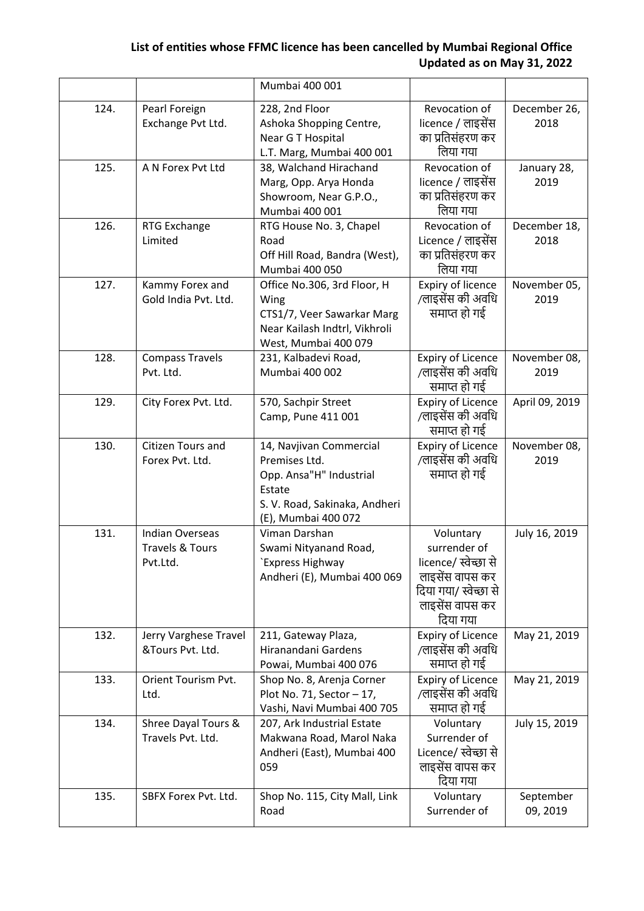|      |                                                                  | Mumbai 400 001                                                                                                                        |                                                                                                                              |                       |
|------|------------------------------------------------------------------|---------------------------------------------------------------------------------------------------------------------------------------|------------------------------------------------------------------------------------------------------------------------------|-----------------------|
| 124. | Pearl Foreign<br>Exchange Pvt Ltd.                               | 228, 2nd Floor<br>Ashoka Shopping Centre,<br>Near G T Hospital<br>L.T. Marg, Mumbai 400 001                                           | Revocation of<br>licence / लाइसेंस<br>का प्रतिसंहरण कर<br>लिया गया                                                           | December 26,<br>2018  |
| 125. | A N Forex Pvt Ltd                                                | 38, Walchand Hirachand<br>Marg, Opp. Arya Honda<br>Showroom, Near G.P.O.,<br>Mumbai 400 001                                           | Revocation of<br>licence / लाइसेंस<br>का प्रतिसंहरण कर<br>लिया गया                                                           | January 28,<br>2019   |
| 126. | RTG Exchange<br>Limited                                          | RTG House No. 3, Chapel<br>Road<br>Off Hill Road, Bandra (West),<br>Mumbai 400 050                                                    | Revocation of<br>Licence / लाइसेंस<br>का प्रतिसंहरण कर<br>लिया गया                                                           | December 18,<br>2018  |
| 127. | Kammy Forex and<br>Gold India Pvt. Ltd.                          | Office No.306, 3rd Floor, H<br>Wing<br>CTS1/7, Veer Sawarkar Marg<br>Near Kailash Indtrl, Vikhroli<br>West, Mumbai 400 079            | Expiry of licence<br>/लाइसेंस की अवधि<br>समाप्त हो गई                                                                        | November 05,<br>2019  |
| 128. | <b>Compass Travels</b><br>Pvt. Ltd.                              | 231, Kalbadevi Road,<br>Mumbai 400 002                                                                                                | <b>Expiry of Licence</b><br>/लाइसेंस की अवधि<br>समाप्त हो गई                                                                 | November 08,<br>2019  |
| 129. | City Forex Pvt. Ltd.                                             | 570, Sachpir Street<br>Camp, Pune 411 001                                                                                             | Expiry of Licence<br>/लाइसेंस की अवधि<br>समाप्त हो गई                                                                        | April 09, 2019        |
| 130. | Citizen Tours and<br>Forex Pvt. Ltd.                             | 14, Navjivan Commercial<br>Premises Ltd.<br>Opp. Ansa"H" Industrial<br>Estate<br>S. V. Road, Sakinaka, Andheri<br>(E), Mumbai 400 072 | Expiry of Licence<br>/लाइसेंस की अवधि<br>समाप्त हो गई                                                                        | November 08,<br>2019  |
| 131. | <b>Indian Overseas</b><br><b>Travels &amp; Tours</b><br>Pvt.Ltd. | Viman Darshan<br>Swami Nityanand Road,<br>`Express Highway<br>Andheri (E), Mumbai 400 069                                             | Voluntary<br>surrender of<br>licence/ स्वेच्छा से<br>लाइसेंस वापस कर<br>दिया गया/ स्वेच्छा से<br>लाइसेंस वापस कर<br>दिया गया | July 16, 2019         |
| 132. | Jerry Varghese Travel<br>&Tours Pvt. Ltd.                        | 211, Gateway Plaza,<br>Hiranandani Gardens<br>Powai, Mumbai 400 076                                                                   | <b>Expiry of Licence</b><br>/लाइसेंस की अवधि<br>समाप्त हो गई                                                                 | May 21, 2019          |
| 133. | Orient Tourism Pvt.<br>Ltd.                                      | Shop No. 8, Arenja Corner<br>Plot No. 71, Sector $-17$ ,<br>Vashi, Navi Mumbai 400 705                                                | <b>Expiry of Licence</b><br>/लाइसेंस की अवधि<br>समाप्त हो गई                                                                 | May 21, 2019          |
| 134. | Shree Dayal Tours &<br>Travels Pvt. Ltd.                         | 207, Ark Industrial Estate<br>Makwana Road, Marol Naka<br>Andheri (East), Mumbai 400<br>059                                           | Voluntary<br>Surrender of<br>Licence/ स्वेच्छा से<br>लाइसेंस वापस कर<br>दिया गया                                             | July 15, 2019         |
| 135. | SBFX Forex Pvt. Ltd.                                             | Shop No. 115, City Mall, Link<br>Road                                                                                                 | Voluntary<br>Surrender of                                                                                                    | September<br>09, 2019 |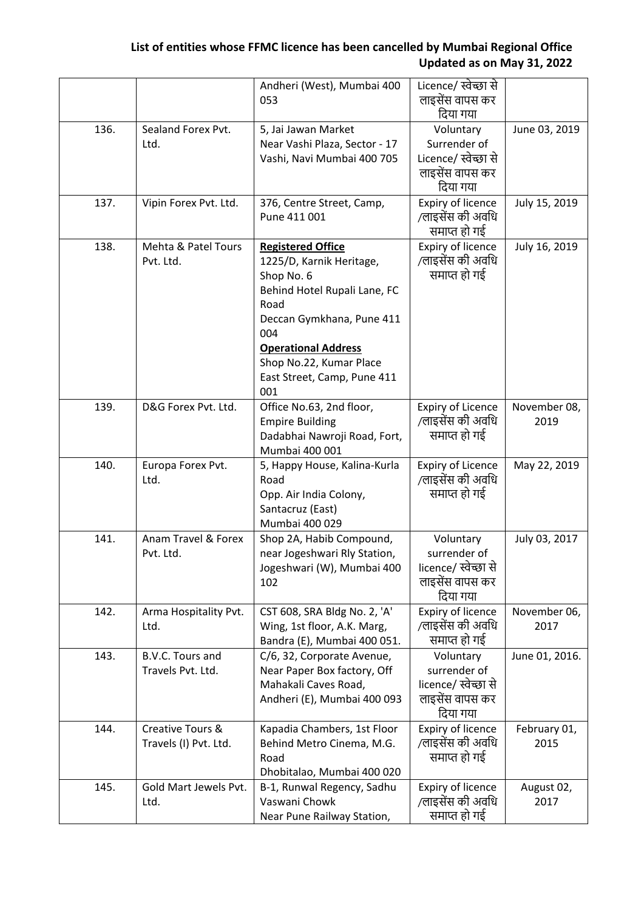|      |                                           | Andheri (West), Mumbai 400<br>053                                                                                                                                                                                                             | Licence/ स्वेच्छा से<br>लाइसेंस वापस कर<br>दिया गया                              |                      |
|------|-------------------------------------------|-----------------------------------------------------------------------------------------------------------------------------------------------------------------------------------------------------------------------------------------------|----------------------------------------------------------------------------------|----------------------|
| 136. | Sealand Forex Pvt.<br>Ltd.                | 5, Jai Jawan Market<br>Near Vashi Plaza, Sector - 17<br>Vashi, Navi Mumbai 400 705                                                                                                                                                            | Voluntary<br>Surrender of<br>Licence/ स्वेच्छा से<br>लाइसेंस वापस कर<br>दिया गया | June 03, 2019        |
| 137. | Vipin Forex Pvt. Ltd.                     | 376, Centre Street, Camp,<br>Pune 411 001                                                                                                                                                                                                     | Expiry of licence<br>/लाइसेंस की अवधि<br>समाप्त हो गई                            | July 15, 2019        |
| 138. | Mehta & Patel Tours<br>Pvt. Ltd.          | <b>Registered Office</b><br>1225/D, Karnik Heritage,<br>Shop No. 6<br>Behind Hotel Rupali Lane, FC<br>Road<br>Deccan Gymkhana, Pune 411<br>004<br><b>Operational Address</b><br>Shop No.22, Kumar Place<br>East Street, Camp, Pune 411<br>001 | Expiry of licence<br>/लाइसेंस की अवधि<br>समाप्त हो गई                            | July 16, 2019        |
| 139. | D&G Forex Pvt. Ltd.                       | Office No.63, 2nd floor,<br><b>Empire Building</b><br>Dadabhai Nawroji Road, Fort,<br>Mumbai 400 001                                                                                                                                          | <b>Expiry of Licence</b><br>/लाइसेंस की अवधि<br>समाप्त हो गई                     | November 08,<br>2019 |
| 140. | Europa Forex Pvt.<br>Ltd.                 | 5, Happy House, Kalina-Kurla<br>Road<br>Opp. Air India Colony,<br>Santacruz (East)<br>Mumbai 400 029                                                                                                                                          | <b>Expiry of Licence</b><br>/लाइसेंस की अवधि<br>समाप्त हो गई                     | May 22, 2019         |
| 141. | Anam Travel & Forex<br>Pvt. Ltd.          | Shop 2A, Habib Compound,<br>near Jogeshwari Rly Station,<br>Jogeshwari (W), Mumbai 400<br>102                                                                                                                                                 | Voluntary<br>surrender of<br>licence/ स्वेच्छा से<br>लाइसेंस वापस कर<br>दिया गया | July 03, 2017        |
| 142. | Arma Hospitality Pvt.<br>Ltd.             | CST 608, SRA Bldg No. 2, 'A'<br>Wing, 1st floor, A.K. Marg,<br>Bandra (E), Mumbai 400 051.                                                                                                                                                    | Expiry of licence<br>/लाइसेंस की अवधि<br>समाप्त हो गई                            | November 06,<br>2017 |
| 143. | B.V.C. Tours and<br>Travels Pvt. Ltd.     | C/6, 32, Corporate Avenue,<br>Near Paper Box factory, Off<br>Mahakali Caves Road,<br>Andheri (E), Mumbai 400 093                                                                                                                              | Voluntary<br>surrender of<br>licence/ स्वेच्छा से<br>लाइसेंस वापस कर<br>दिया गया | June 01, 2016.       |
| 144. | Creative Tours &<br>Travels (I) Pvt. Ltd. | Kapadia Chambers, 1st Floor<br>Behind Metro Cinema, M.G.<br>Road<br>Dhobitalao, Mumbai 400 020                                                                                                                                                | Expiry of licence<br>/लाइसेंस की अवधि<br>समाप्त हो गई                            | February 01,<br>2015 |
| 145. | Gold Mart Jewels Pvt.<br>Ltd.             | B-1, Runwal Regency, Sadhu<br>Vaswani Chowk<br>Near Pune Railway Station,                                                                                                                                                                     | Expiry of licence<br>/लाइसेंस की अवधि<br>समाप्त हो गई                            | August 02,<br>2017   |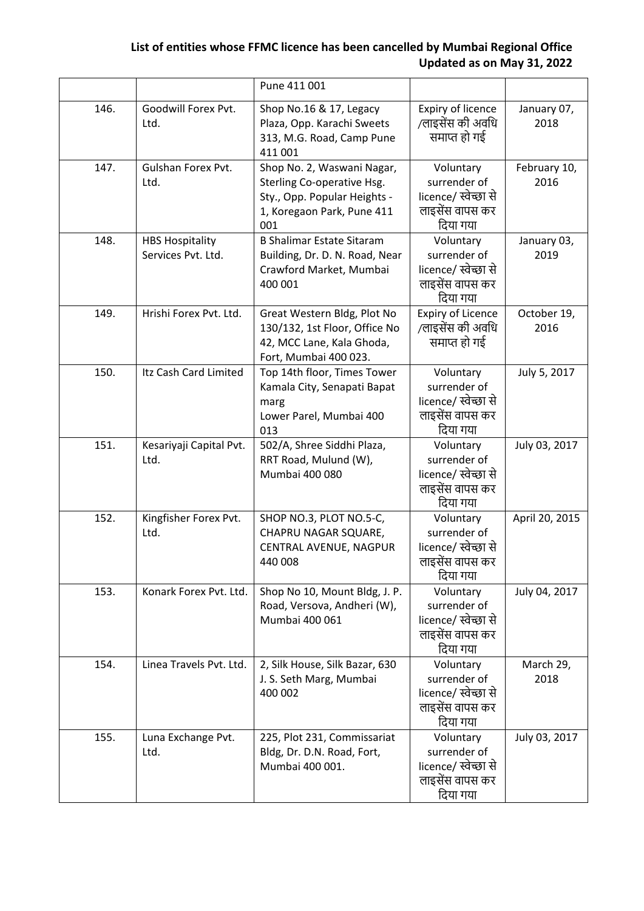|      |                                              | Pune 411 001                                                                                                                  |                                                                                  |                      |
|------|----------------------------------------------|-------------------------------------------------------------------------------------------------------------------------------|----------------------------------------------------------------------------------|----------------------|
| 146. | Goodwill Forex Pvt.<br>Ltd.                  | Shop No.16 & 17, Legacy<br>Plaza, Opp. Karachi Sweets<br>313, M.G. Road, Camp Pune<br>411 001                                 | Expiry of licence<br>/लाइसेंस की अवधि<br>समाप्त हो गई                            | January 07,<br>2018  |
| 147. | Gulshan Forex Pvt.<br>Ltd.                   | Shop No. 2, Waswani Nagar,<br>Sterling Co-operative Hsg.<br>Sty., Opp. Popular Heights -<br>1, Koregaon Park, Pune 411<br>001 | Voluntary<br>surrender of<br>licence/ स्वेच्छा से<br>लाइसेंस वापस कर<br>दिया गया | February 10,<br>2016 |
| 148. | <b>HBS Hospitality</b><br>Services Pvt. Ltd. | <b>B Shalimar Estate Sitaram</b><br>Building, Dr. D. N. Road, Near<br>Crawford Market, Mumbai<br>400 001                      | Voluntary<br>surrender of<br>licence/ स्वेच्छा से<br>लाइसेंस वापस कर<br>दिया गया | January 03,<br>2019  |
| 149. | Hrishi Forex Pvt. Ltd.                       | Great Western Bldg, Plot No<br>130/132, 1st Floor, Office No<br>42, MCC Lane, Kala Ghoda,<br>Fort, Mumbai 400 023.            | <b>Expiry of Licence</b><br>/लाइसेंस की अवधि<br>समाप्त हो गई                     | October 19,<br>2016  |
| 150. | Itz Cash Card Limited                        | Top 14th floor, Times Tower<br>Kamala City, Senapati Bapat<br>marg<br>Lower Parel, Mumbai 400<br>013                          | Voluntary<br>surrender of<br>licence/ स्वेच्छा से<br>लाइसेंस वापस कर<br>दिया गया | July 5, 2017         |
| 151. | Kesariyaji Capital Pvt.<br>Ltd.              | 502/A, Shree Siddhi Plaza,<br>RRT Road, Mulund (W),<br>Mumbai 400 080                                                         | Voluntary<br>surrender of<br>licence/ स्वेच्छा से<br>लाइसेंस वापस कर<br>दिया गया | July 03, 2017        |
| 152. | Kingfisher Forex Pvt.<br>Ltd.                | SHOP NO.3, PLOT NO.5-C,<br>CHAPRU NAGAR SQUARE,<br>CENTRAL AVENUE, NAGPUR<br>440 008                                          | Voluntary<br>surrender of<br>licence/ स्वेच्छा से<br>लाइसेंस वापस कर<br>दिया गया | April 20, 2015       |
| 153. | Konark Forex Pvt. Ltd.                       | Shop No 10, Mount Bldg, J. P.<br>Road, Versova, Andheri (W),<br>Mumbai 400 061                                                | Voluntary<br>surrender of<br>licence/ स्वेच्छा से<br>लाइसेंस वापस कर<br>दिया गया | July 04, 2017        |
| 154. | Linea Travels Pvt. Ltd.                      | 2, Silk House, Silk Bazar, 630<br>J. S. Seth Marg, Mumbai<br>400 002                                                          | Voluntary<br>surrender of<br>licence/ स्वेच्छा से<br>लाइसेंस वापस कर<br>दिया गया | March 29,<br>2018    |
| 155. | Luna Exchange Pvt.<br>Ltd.                   | 225, Plot 231, Commissariat<br>Bldg, Dr. D.N. Road, Fort,<br>Mumbai 400 001.                                                  | Voluntary<br>surrender of<br>licence/ स्वेच्छा से<br>लाइसेंस वापस कर<br>दिया गया | July 03, 2017        |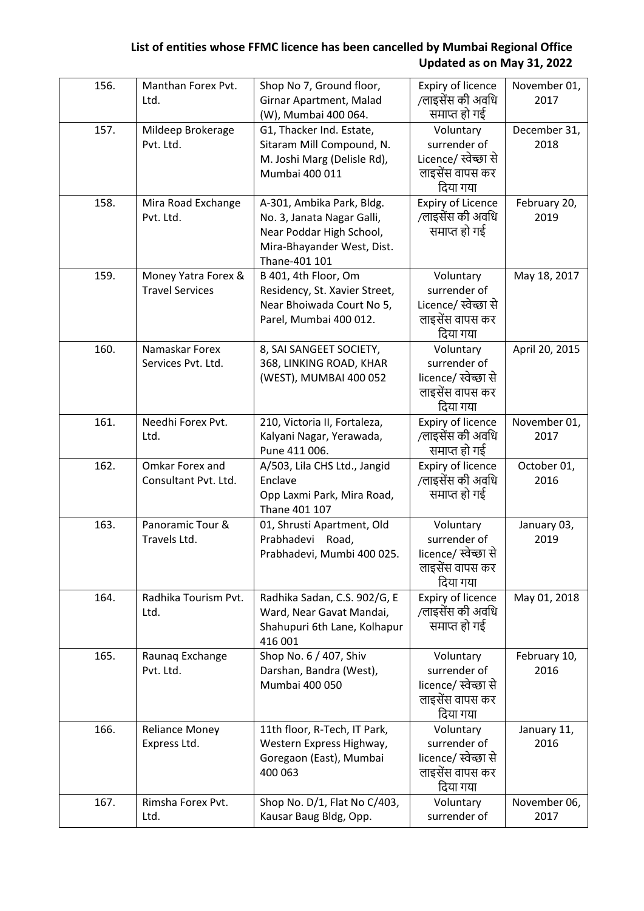| 156. | Manthan Forex Pvt.<br>Ltd. | Shop No 7, Ground floor,<br>Girnar Apartment, Malad | Expiry of licence<br>/लाइसेंस की अवधि | November 01,<br>2017 |
|------|----------------------------|-----------------------------------------------------|---------------------------------------|----------------------|
|      |                            | (W), Mumbai 400 064.                                | समाप्त हो गई                          |                      |
| 157. | Mildeep Brokerage          | G1, Thacker Ind. Estate,                            | Voluntary                             | December 31,         |
|      | Pvt. Ltd.                  | Sitaram Mill Compound, N.                           | surrender of                          | 2018                 |
|      |                            |                                                     |                                       |                      |
|      |                            | M. Joshi Marg (Delisle Rd),                         | Licence/ स्वेच्छा से                  |                      |
|      |                            | Mumbai 400 011                                      | लाइसेंस वापस कर                       |                      |
|      |                            |                                                     | दिया गया                              |                      |
| 158. | Mira Road Exchange         | A-301, Ambika Park, Bldg.                           | <b>Expiry of Licence</b>              | February 20,         |
|      | Pvt. Ltd.                  | No. 3, Janata Nagar Galli,                          | /लाइसेंस की अवधि                      | 2019                 |
|      |                            | Near Poddar High School,                            | समाप्त हो गई                          |                      |
|      |                            | Mira-Bhayander West, Dist.                          |                                       |                      |
|      |                            | Thane-401 101                                       |                                       |                      |
| 159. | Money Yatra Forex &        | B 401, 4th Floor, Om                                | Voluntary                             | May 18, 2017         |
|      | <b>Travel Services</b>     | Residency, St. Xavier Street,                       | surrender of                          |                      |
|      |                            | Near Bhoiwada Court No 5,                           | Licence/ स्वेच्छा से                  |                      |
|      |                            | Parel, Mumbai 400 012.                              | लाइसेंस वापस कर                       |                      |
|      |                            |                                                     | दिया गया                              |                      |
| 160. | Namaskar Forex             |                                                     |                                       |                      |
|      |                            | 8, SAI SANGEET SOCIETY,                             | Voluntary                             | April 20, 2015       |
|      | Services Pvt. Ltd.         | 368, LINKING ROAD, KHAR                             | surrender of                          |                      |
|      |                            | (WEST), MUMBAI 400 052                              | licence/ स्वेच्छा से                  |                      |
|      |                            |                                                     | लाइसेंस वापस कर                       |                      |
|      |                            |                                                     | दिया गया                              |                      |
| 161. | Needhi Forex Pvt.          | 210, Victoria II, Fortaleza,                        | Expiry of licence                     | November 01,         |
|      | Ltd.                       | Kalyani Nagar, Yerawada,                            | /लाइसेंस की अवधि                      | 2017                 |
|      |                            | Pune 411 006.                                       | समाप्त हो गई                          |                      |
| 162. | Omkar Forex and            | A/503, Lila CHS Ltd., Jangid                        | Expiry of licence                     | October 01,          |
|      | Consultant Pvt. Ltd.       | Enclave                                             | /लाइसेंस की अवधि                      | 2016                 |
|      |                            | Opp Laxmi Park, Mira Road,                          | समाप्त हो गई                          |                      |
|      |                            | Thane 401 107                                       |                                       |                      |
| 163. | Panoramic Tour &           | 01, Shrusti Apartment, Old                          | Voluntary                             | January 03,          |
|      | Travels Ltd.               | Prabhadevi<br>Road,                                 | surrender of                          | 2019                 |
|      |                            | Prabhadevi, Mumbi 400 025.                          | licence/ स्वेच्छा से                  |                      |
|      |                            |                                                     | लाइसेंस वापस कर                       |                      |
|      |                            |                                                     | दिया गया                              |                      |
| 164. | Radhika Tourism Pvt.       | Radhika Sadan, C.S. 902/G, E                        | Expiry of licence                     | May 01, 2018         |
|      | Ltd.                       | Ward, Near Gavat Mandai,                            | /लाइसेंस की अवधि                      |                      |
|      |                            | Shahupuri 6th Lane, Kolhapur                        | समाप्त हो गई                          |                      |
|      |                            | 416 001                                             |                                       |                      |
| 165. | Raunaq Exchange            | Shop No. 6 / 407, Shiv                              | Voluntary                             | February 10,         |
|      | Pvt. Ltd.                  | Darshan, Bandra (West),                             | surrender of                          | 2016                 |
|      |                            | Mumbai 400 050                                      | licence/ स्वेच्छा से                  |                      |
|      |                            |                                                     | लाइसेंस वापस कर                       |                      |
|      |                            |                                                     | दिया गया                              |                      |
| 166. | <b>Reliance Money</b>      | 11th floor, R-Tech, IT Park,                        | Voluntary                             | January 11,          |
|      | Express Ltd.               | Western Express Highway,                            | surrender of                          | 2016                 |
|      |                            | Goregaon (East), Mumbai                             | licence/ स्वेच्छा से                  |                      |
|      |                            | 400 063                                             | लाइसेंस वापस कर                       |                      |
|      |                            |                                                     | दिया गया                              |                      |
| 167. | Rimsha Forex Pvt.          | Shop No. D/1, Flat No C/403,                        | Voluntary                             | November 06,         |
|      | Ltd.                       | Kausar Baug Bldg, Opp.                              | surrender of                          | 2017                 |
|      |                            |                                                     |                                       |                      |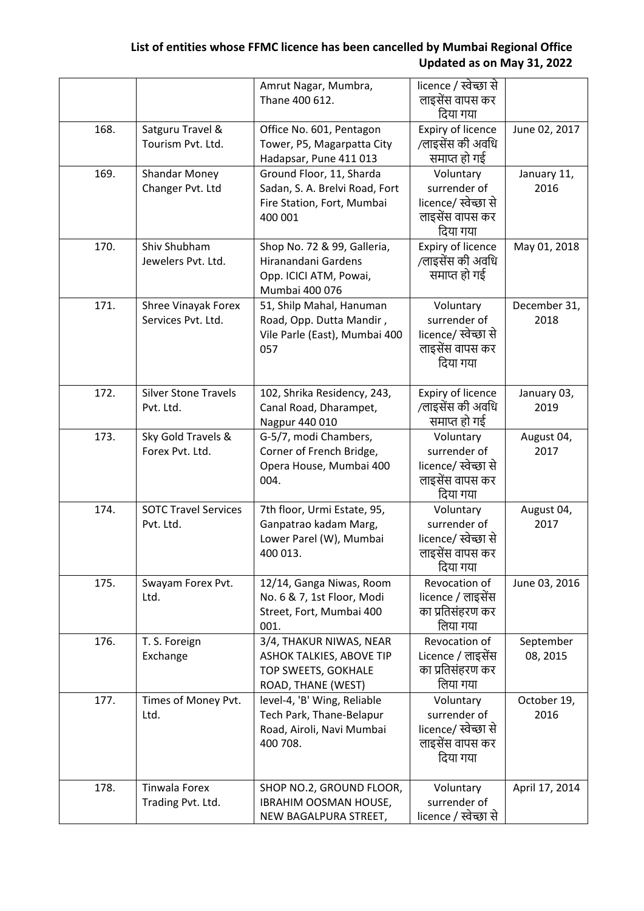|      |                             | Amrut Nagar, Mumbra,                | licence / स्वेच्छा से     |                |
|------|-----------------------------|-------------------------------------|---------------------------|----------------|
|      |                             | Thane 400 612.                      | लाइसेंस वापस कर           |                |
|      |                             |                                     | दिया गया                  |                |
| 168. | Satguru Travel &            | Office No. 601, Pentagon            | Expiry of licence         | June 02, 2017  |
|      | Tourism Pvt. Ltd.           | Tower, P5, Magarpatta City          | /लाइसेंस की अवधि          |                |
|      |                             | Hadapsar, Pune 411 013              | समाप्त हो गई              |                |
| 169. | <b>Shandar Money</b>        | Ground Floor, 11, Sharda            | Voluntary                 | January 11,    |
|      | Changer Pvt. Ltd            | Sadan, S. A. Brelvi Road, Fort      | surrender of              | 2016           |
|      |                             | Fire Station, Fort, Mumbai          | licence/ स्वेच्छा से      |                |
|      |                             | 400 001                             | लाइसेंस वापस कर           |                |
|      |                             |                                     | दिया गया                  |                |
| 170. | Shiv Shubham                | Shop No. 72 & 99, Galleria,         | Expiry of licence         | May 01, 2018   |
|      | Jewelers Pvt. Ltd.          | Hiranandani Gardens                 | /लाइसेंस की अवधि          |                |
|      |                             | Opp. ICICI ATM, Powai,              | समाप्त हो गई              |                |
|      |                             | Mumbai 400 076                      |                           |                |
| 171. | Shree Vinayak Forex         | 51, Shilp Mahal, Hanuman            | Voluntary                 | December 31,   |
|      | Services Pvt. Ltd.          | Road, Opp. Dutta Mandir,            | surrender of              | 2018           |
|      |                             | Vile Parle (East), Mumbai 400       | licence/ स्वेच्छा से      |                |
|      |                             | 057                                 | लाइसेंस वापस कर           |                |
|      |                             |                                     | दिया गया                  |                |
|      |                             |                                     |                           |                |
| 172. | <b>Silver Stone Travels</b> | 102, Shrika Residency, 243,         | Expiry of licence         | January 03,    |
|      | Pvt. Ltd.                   | Canal Road, Dharampet,              | /लाइसेंस की अवधि          | 2019           |
|      |                             | Nagpur 440 010                      | समाप्त हो गई              |                |
| 173. | Sky Gold Travels &          | G-5/7, modi Chambers,               | Voluntary                 | August 04,     |
|      | Forex Pvt. Ltd.             | Corner of French Bridge,            | surrender of              | 2017           |
|      |                             | Opera House, Mumbai 400             | licence/ स्वेच्छा से      |                |
|      |                             | 004.                                | लाइसेंस वापस कर           |                |
|      |                             |                                     | दिया गया                  |                |
| 174. | <b>SOTC Travel Services</b> | 7th floor, Urmi Estate, 95,         | Voluntary<br>surrender of | August 04,     |
|      | Pvt. Ltd.                   | Ganpatrao kadam Marg,               | licence/ स्वेच्छा से      | 2017           |
|      |                             | Lower Parel (W), Mumbai<br>400 013. | लाइसेंस वापस कर           |                |
|      |                             |                                     | दिया गया                  |                |
|      |                             |                                     | Revocation of             |                |
| 175. | Swayam Forex Pvt.           | 12/14, Ganga Niwas, Room            | licence / लाइसेंस         | June 03, 2016  |
|      | Ltd.                        | No. 6 & 7, 1st Floor, Modi          | का प्रतिसंहरण कर          |                |
|      |                             | Street, Fort, Mumbai 400<br>001.    | लिया गया                  |                |
| 176. | T. S. Foreign               | 3/4, THAKUR NIWAS, NEAR             | Revocation of             | September      |
|      | Exchange                    | ASHOK TALKIES, ABOVE TIP            | Licence / लाइसेंस         | 08, 2015       |
|      |                             | TOP SWEETS, GOKHALE                 | का प्रतिसंहरण कर          |                |
|      |                             | ROAD, THANE (WEST)                  | लिया गया                  |                |
| 177. | Times of Money Pvt.         | level-4, 'B' Wing, Reliable         | Voluntary                 | October 19,    |
|      | Ltd.                        | Tech Park, Thane-Belapur            | surrender of              | 2016           |
|      |                             | Road, Airoli, Navi Mumbai           | licence/ स्वेच्छा से      |                |
|      |                             | 400 708.                            | लाइसेंस वापस कर           |                |
|      |                             |                                     | दिया गया                  |                |
|      |                             |                                     |                           |                |
| 178. | Tinwala Forex               | SHOP NO.2, GROUND FLOOR,            | Voluntary                 | April 17, 2014 |
|      | Trading Pvt. Ltd.           | IBRAHIM OOSMAN HOUSE,               | surrender of              |                |
|      |                             | NEW BAGALPURA STREET,               | licence / स्वेच्छा से     |                |